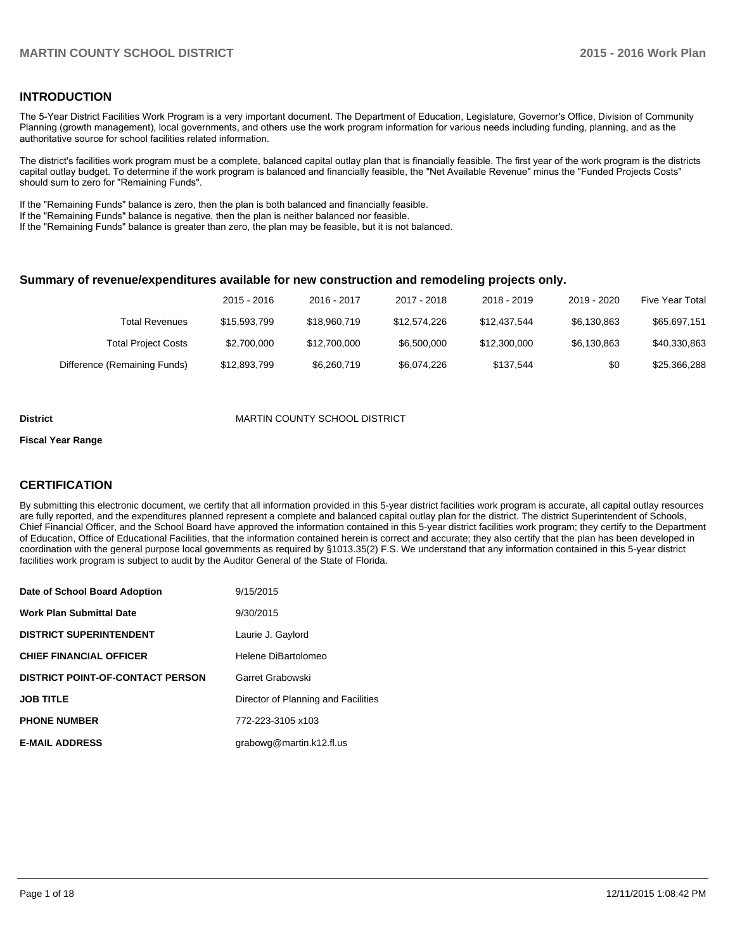### **INTRODUCTION**

The 5-Year District Facilities Work Program is a very important document. The Department of Education, Legislature, Governor's Office, Division of Community Planning (growth management), local governments, and others use the work program information for various needs including funding, planning, and as the authoritative source for school facilities related information.

The district's facilities work program must be a complete, balanced capital outlay plan that is financially feasible. The first year of the work program is the districts capital outlay budget. To determine if the work program is balanced and financially feasible, the "Net Available Revenue" minus the "Funded Projects Costs" should sum to zero for "Remaining Funds".

If the "Remaining Funds" balance is zero, then the plan is both balanced and financially feasible.

If the "Remaining Funds" balance is negative, then the plan is neither balanced nor feasible.

If the "Remaining Funds" balance is greater than zero, the plan may be feasible, but it is not balanced.

#### **Summary of revenue/expenditures available for new construction and remodeling projects only.**

| Five Year Total | 2019 - 2020 | 2018 - 2019  | 2017 - 2018  | 2016 - 2017  | 2015 - 2016  |                              |
|-----------------|-------------|--------------|--------------|--------------|--------------|------------------------------|
| \$65,697,151    | \$6.130.863 | \$12.437.544 | \$12,574,226 | \$18,960,719 | \$15,593,799 | Total Revenues               |
| \$40,330,863    | \$6.130.863 | \$12,300,000 | \$6,500,000  | \$12,700,000 | \$2,700,000  | <b>Total Project Costs</b>   |
| \$25,366,288    | \$0         | \$137.544    | \$6.074.226  | \$6,260,719  | \$12,893,799 | Difference (Remaining Funds) |

#### **District District MARTIN COUNTY SCHOOL DISTRICT**

#### **Fiscal Year Range**

### **CERTIFICATION**

By submitting this electronic document, we certify that all information provided in this 5-year district facilities work program is accurate, all capital outlay resources are fully reported, and the expenditures planned represent a complete and balanced capital outlay plan for the district. The district Superintendent of Schools, Chief Financial Officer, and the School Board have approved the information contained in this 5-year district facilities work program; they certify to the Department of Education, Office of Educational Facilities, that the information contained herein is correct and accurate; they also certify that the plan has been developed in coordination with the general purpose local governments as required by §1013.35(2) F.S. We understand that any information contained in this 5-year district facilities work program is subject to audit by the Auditor General of the State of Florida.

| Date of School Board Adoption           | 9/15/2015                           |
|-----------------------------------------|-------------------------------------|
| <b>Work Plan Submittal Date</b>         | 9/30/2015                           |
| <b>DISTRICT SUPERINTENDENT</b>          | Laurie J. Gaylord                   |
| <b>CHIEF FINANCIAL OFFICER</b>          | Helene DiBartolomeo                 |
| <b>DISTRICT POINT-OF-CONTACT PERSON</b> | Garret Grabowski                    |
| <b>JOB TITLE</b>                        | Director of Planning and Facilities |
| <b>PHONE NUMBER</b>                     | 772-223-3105 x103                   |
| <b>E-MAIL ADDRESS</b>                   | grabowg@martin.k12.fl.us            |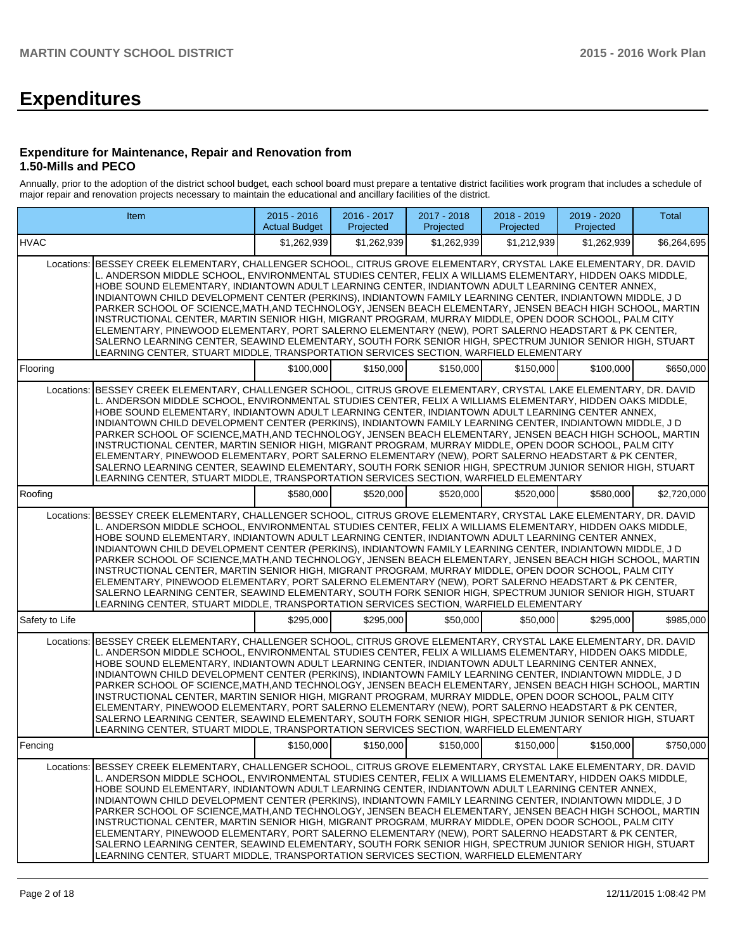# **Expenditures**

#### **Expenditure for Maintenance, Repair and Renovation from 1.50-Mills and PECO**

Annually, prior to the adoption of the district school budget, each school board must prepare a tentative district facilities work program that includes a schedule of major repair and renovation projects necessary to maintain the educational and ancillary facilities of the district.

|                | Item                                                                                                                                                                                                                                                                                                                                                                                                                                                                                                                                                                                                                                                                                                                                                                                                                                                                                                                                                                             | $2015 - 2016$<br><b>Actual Budget</b> | 2016 - 2017<br>Projected                               | 2017 - 2018<br>Projected | 2018 - 2019<br>Projected | 2019 - 2020<br>Projected | <b>Total</b> |
|----------------|----------------------------------------------------------------------------------------------------------------------------------------------------------------------------------------------------------------------------------------------------------------------------------------------------------------------------------------------------------------------------------------------------------------------------------------------------------------------------------------------------------------------------------------------------------------------------------------------------------------------------------------------------------------------------------------------------------------------------------------------------------------------------------------------------------------------------------------------------------------------------------------------------------------------------------------------------------------------------------|---------------------------------------|--------------------------------------------------------|--------------------------|--------------------------|--------------------------|--------------|
| <b>HVAC</b>    |                                                                                                                                                                                                                                                                                                                                                                                                                                                                                                                                                                                                                                                                                                                                                                                                                                                                                                                                                                                  | \$1,262,939                           | \$1.262.939                                            | \$1.262.939              | \$1,212,939              | \$1.262.939              | \$6,264,695  |
|                | Locations: BESSEY CREEK ELEMENTARY, CHALLENGER SCHOOL, CITRUS GROVE ELEMENTARY, CRYSTAL LAKE ELEMENTARY, DR. DAVID<br>L. ANDERSON MIDDLE SCHOOL, ENVIRONMENTAL STUDIES CENTER, FELIX A WILLIAMS ELEMENTARY, HIDDEN OAKS MIDDLE,<br>HOBE SOUND ELEMENTARY, INDIANTOWN ADULT LEARNING CENTER, INDIANTOWN ADULT LEARNING CENTER ANNEX,<br>INDIANTOWN CHILD DEVELOPMENT CENTER (PERKINS), INDIANTOWN FAMILY LEARNING CENTER, INDIANTOWN MIDDLE, J D<br>PARKER SCHOOL OF SCIENCE, MATH, AND TECHNOLOGY, JENSEN BEACH ELEMENTARY, JENSEN BEACH HIGH SCHOOL, MARTIN<br>INSTRUCTIONAL CENTER, MARTIN SENIOR HIGH, MIGRANT PROGRAM, MURRAY MIDDLE, OPEN DOOR SCHOOL, PALM CITY<br>ELEMENTARY, PINEWOOD ELEMENTARY, PORT SALERNO ELEMENTARY (NEW), PORT SALERNO HEADSTART & PK CENTER,<br>SALERNO LEARNING CENTER, SEAWIND ELEMENTARY, SOUTH FORK SENIOR HIGH, SPECTRUM JUNIOR SENIOR HIGH, STUART<br>LEARNING CENTER, STUART MIDDLE, TRANSPORTATION SERVICES SECTION, WARFIELD ELEMENTARY |                                       |                                                        |                          |                          |                          |              |
| Flooring       |                                                                                                                                                                                                                                                                                                                                                                                                                                                                                                                                                                                                                                                                                                                                                                                                                                                                                                                                                                                  | \$100,000                             | \$150,000                                              | \$150,000                | \$150,000                | \$100,000                | \$650,000    |
| Locations:     | BESSEY CREEK ELEMENTARY, CHALLENGER SCHOOL, CITRUS GROVE ELEMENTARY, CRYSTAL LAKE ELEMENTARY, DR. DAVID<br>L. ANDERSON MIDDLE SCHOOL, ENVIRONMENTAL STUDIES CENTER, FELIX A WILLIAMS ELEMENTARY, HIDDEN OAKS MIDDLE,<br>HOBE SOUND ELEMENTARY, INDIANTOWN ADULT LEARNING CENTER, INDIANTOWN ADULT LEARNING CENTER ANNEX,<br>INDIANTOWN CHILD DEVELOPMENT CENTER (PERKINS), INDIANTOWN FAMILY LEARNING CENTER, INDIANTOWN MIDDLE, J D<br>PARKER SCHOOL OF SCIENCE, MATH, AND TECHNOLOGY, JENSEN BEACH ELEMENTARY, JENSEN BEACH HIGH SCHOOL, MARTIN<br>INSTRUCTIONAL CENTER, MARTIN SENIOR HIGH, MIGRANT PROGRAM, MURRAY MIDDLE, OPEN DOOR SCHOOL, PALM CITY<br>ELEMENTARY, PINEWOOD ELEMENTARY, PORT SALERNO ELEMENTARY (NEW), PORT SALERNO HEADSTART & PK CENTER,<br>SALERNO LEARNING CENTER, SEAWIND ELEMENTARY, SOUTH FORK SENIOR HIGH, SPECTRUM JUNIOR SENIOR HIGH, STUART<br>LEARNING CENTER, STUART MIDDLE, TRANSPORTATION SERVICES SECTION, WARFIELD ELEMENTARY            |                                       |                                                        |                          |                          |                          |              |
| Roofing        |                                                                                                                                                                                                                                                                                                                                                                                                                                                                                                                                                                                                                                                                                                                                                                                                                                                                                                                                                                                  | \$580,000                             | \$520,000                                              | \$520,000                | \$520,000                | \$580,000                | \$2,720,000  |
| Locations:     | BESSEY CREEK ELEMENTARY, CHALLENGER SCHOOL, CITRUS GROVE ELEMENTARY, CRYSTAL LAKE ELEMENTARY, DR. DAVID<br>L. ANDERSON MIDDLE SCHOOL, ENVIRONMENTAL STUDIES CENTER, FELIX A WILLIAMS ELEMENTARY, HIDDEN OAKS MIDDLE,<br>HOBE SOUND ELEMENTARY. INDIANTOWN ADULT LEARNING CENTER. INDIANTOWN ADULT LEARNING CENTER ANNEX.<br>INDIANTOWN CHILD DEVELOPMENT CENTER (PERKINS), INDIANTOWN FAMILY LEARNING CENTER, INDIANTOWN MIDDLE, J D<br>PARKER SCHOOL OF SCIENCE, MATH, AND TECHNOLOGY, JENSEN BEACH ELEMENTARY, JENSEN BEACH HIGH SCHOOL, MARTIN<br>INSTRUCTIONAL CENTER, MARTIN SENIOR HIGH, MIGRANT PROGRAM, MURRAY MIDDLE, OPEN DOOR SCHOOL, PALM CITY<br>ELEMENTARY, PINEWOOD ELEMENTARY, PORT SALERNO ELEMENTARY (NEW), PORT SALERNO HEADSTART & PK CENTER,<br>SALERNO LEARNING CENTER, SEAWIND ELEMENTARY, SOUTH FORK SENIOR HIGH, SPECTRUM JUNIOR SENIOR HIGH, STUART<br>LEARNING CENTER, STUART MIDDLE, TRANSPORTATION SERVICES SECTION, WARFIELD ELEMENTARY            |                                       |                                                        |                          |                          |                          |              |
| Safety to Life |                                                                                                                                                                                                                                                                                                                                                                                                                                                                                                                                                                                                                                                                                                                                                                                                                                                                                                                                                                                  | \$295,000                             | \$295,000                                              | \$50,000                 | \$50,000                 | \$295,000                | \$985,000    |
| Locations:     | BESSEY CREEK ELEMENTARY, CHALLENGER SCHOOL, CITRUS GROVE ELEMENTARY, CRYSTAL LAKE ELEMENTARY, DR. DAVID<br>L. ANDERSON MIDDLE SCHOOL, ENVIRONMENTAL STUDIES CENTER, FELIX A WILLIAMS ELEMENTARY, HIDDEN OAKS MIDDLE,<br>HOBE SOUND ELEMENTARY, INDIANTOWN ADULT LEARNING CENTER, INDIANTOWN ADULT LEARNING CENTER ANNEX,<br>INDIANTOWN CHILD DEVELOPMENT CENTER (PERKINS), INDIANTOWN FAMILY LEARNING CENTER, INDIANTOWN MIDDLE, J D<br>PARKER SCHOOL OF SCIENCE, MATH, AND TECHNOLOGY, JENSEN BEACH ELEMENTARY, JENSEN BEACH HIGH SCHOOL, MARTIN<br>INSTRUCTIONAL CENTER, MARTIN SENIOR HIGH, MIGRANT PROGRAM, MURRAY MIDDLE, OPEN DOOR SCHOOL, PALM CITY<br>ELEMENTARY, PINEWOOD ELEMENTARY, PORT SALERNO ELEMENTARY (NEW), PORT SALERNO HEADSTART & PK CENTER,<br>SALERNO LEARNING CENTER, SEAWIND ELEMENTARY, SOUTH FORK SENIOR HIGH, SPECTRUM JUNIOR SENIOR HIGH, STUART<br>LEARNING CENTER, STUART MIDDLE, TRANSPORTATION SERVICES SECTION, WARFIELD ELEMENTARY            |                                       |                                                        |                          |                          |                          |              |
| Fencing        |                                                                                                                                                                                                                                                                                                                                                                                                                                                                                                                                                                                                                                                                                                                                                                                                                                                                                                                                                                                  |                                       | $$150,000$ $$150,000$ $$150,000$ $$150,000$ $$150,000$ |                          |                          | \$150,000                | \$750,000    |
| Locations:     | BESSEY CREEK ELEMENTARY, CHALLENGER SCHOOL, CITRUS GROVE ELEMENTARY, CRYSTAL LAKE ELEMENTARY, DR. DAVID<br>L. ANDERSON MIDDLE SCHOOL, ENVIRONMENTAL STUDIES CENTER, FELIX A WILLIAMS ELEMENTARY, HIDDEN OAKS MIDDLE,<br>HOBE SOUND ELEMENTARY, INDIANTOWN ADULT LEARNING CENTER, INDIANTOWN ADULT LEARNING CENTER ANNEX,<br>INDIANTOWN CHILD DEVELOPMENT CENTER (PERKINS), INDIANTOWN FAMILY LEARNING CENTER, INDIANTOWN MIDDLE, J D<br>PARKER SCHOOL OF SCIENCE, MATH, AND TECHNOLOGY, JENSEN BEACH ELEMENTARY, JENSEN BEACH HIGH SCHOOL, MARTIN<br>INSTRUCTIONAL CENTER, MARTIN SENIOR HIGH, MIGRANT PROGRAM, MURRAY MIDDLE, OPEN DOOR SCHOOL, PALM CITY<br>ELEMENTARY, PINEWOOD ELEMENTARY, PORT SALERNO ELEMENTARY (NEW), PORT SALERNO HEADSTART & PK CENTER,<br>SALERNO LEARNING CENTER, SEAWIND ELEMENTARY, SOUTH FORK SENIOR HIGH, SPECTRUM JUNIOR SENIOR HIGH, STUART<br>LEARNING CENTER, STUART MIDDLE, TRANSPORTATION SERVICES SECTION, WARFIELD ELEMENTARY            |                                       |                                                        |                          |                          |                          |              |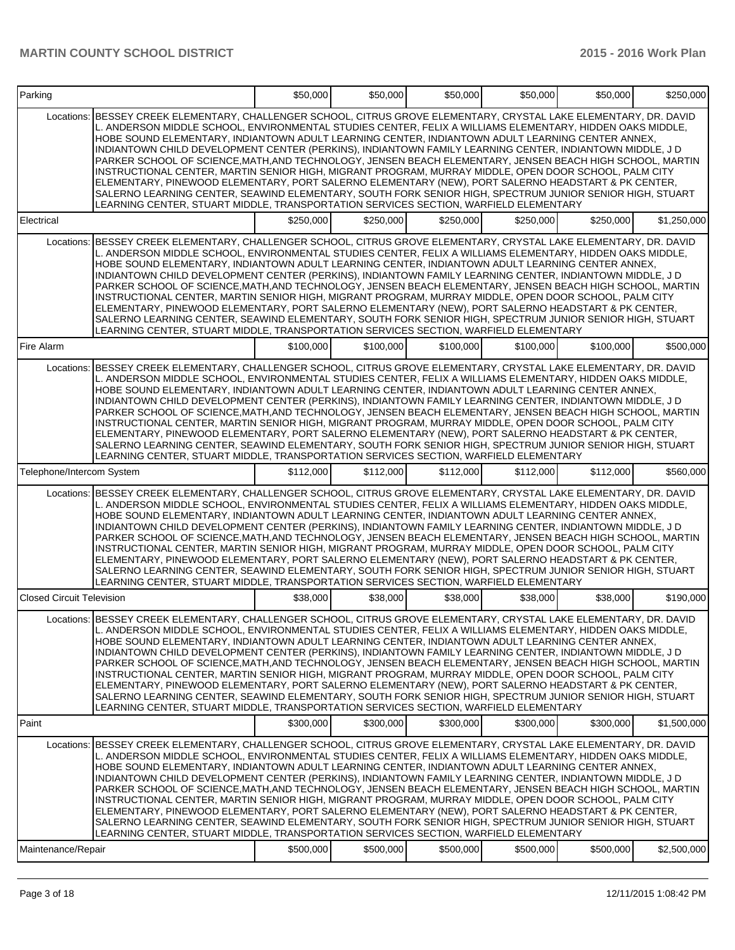| Parking                          |                                                                                                                                                                                                                                                                                                                                                                                                                                                                                                                                                                                                                                                                                                                                                                                                                                                                                                                                                                                  | \$50,000  | \$50,000  | \$50,000  | \$50,000  | \$50,000  | \$250,000   |
|----------------------------------|----------------------------------------------------------------------------------------------------------------------------------------------------------------------------------------------------------------------------------------------------------------------------------------------------------------------------------------------------------------------------------------------------------------------------------------------------------------------------------------------------------------------------------------------------------------------------------------------------------------------------------------------------------------------------------------------------------------------------------------------------------------------------------------------------------------------------------------------------------------------------------------------------------------------------------------------------------------------------------|-----------|-----------|-----------|-----------|-----------|-------------|
| Locations:                       | BESSEY CREEK ELEMENTARY, CHALLENGER SCHOOL, CITRUS GROVE ELEMENTARY, CRYSTAL LAKE ELEMENTARY, DR. DAVID<br>L. ANDERSON MIDDLE SCHOOL. ENVIRONMENTAL STUDIES CENTER. FELIX A WILLIAMS ELEMENTARY. HIDDEN OAKS MIDDLE.<br>HOBE SOUND ELEMENTARY, INDIANTOWN ADULT LEARNING CENTER, INDIANTOWN ADULT LEARNING CENTER ANNEX,<br>INDIANTOWN CHILD DEVELOPMENT CENTER (PERKINS), INDIANTOWN FAMILY LEARNING CENTER, INDIANTOWN MIDDLE, J D<br>PARKER SCHOOL OF SCIENCE, MATH, AND TECHNOLOGY, JENSEN BEACH ELEMENTARY, JENSEN BEACH HIGH SCHOOL, MARTIN<br>INSTRUCTIONAL CENTER, MARTIN SENIOR HIGH, MIGRANT PROGRAM, MURRAY MIDDLE, OPEN DOOR SCHOOL, PALM CITY<br>ELEMENTARY, PINEWOOD ELEMENTARY, PORT SALERNO ELEMENTARY (NEW), PORT SALERNO HEADSTART & PK CENTER,<br>SALERNO LEARNING CENTER, SEAWIND ELEMENTARY, SOUTH FORK SENIOR HIGH, SPECTRUM JUNIOR SENIOR HIGH, STUART<br>LEARNING CENTER, STUART MIDDLE, TRANSPORTATION SERVICES SECTION, WARFIELD ELEMENTARY            |           |           |           |           |           |             |
| Electrical                       |                                                                                                                                                                                                                                                                                                                                                                                                                                                                                                                                                                                                                                                                                                                                                                                                                                                                                                                                                                                  | \$250,000 | \$250,000 | \$250,000 | \$250,000 | \$250,000 | \$1,250,000 |
| Locations:                       | BESSEY CREEK ELEMENTARY, CHALLENGER SCHOOL, CITRUS GROVE ELEMENTARY, CRYSTAL LAKE ELEMENTARY, DR. DAVID<br>L. ANDERSON MIDDLE SCHOOL, ENVIRONMENTAL STUDIES CENTER, FELIX A WILLIAMS ELEMENTARY, HIDDEN OAKS MIDDLE,<br>HOBE SOUND ELEMENTARY, INDIANTOWN ADULT LEARNING CENTER, INDIANTOWN ADULT LEARNING CENTER ANNEX,<br>INDIANTOWN CHILD DEVELOPMENT CENTER (PERKINS), INDIANTOWN FAMILY LEARNING CENTER, INDIANTOWN MIDDLE, J D<br>PARKER SCHOOL OF SCIENCE, MATH, AND TECHNOLOGY, JENSEN BEACH ELEMENTARY, JENSEN BEACH HIGH SCHOOL, MARTIN<br>INSTRUCTIONAL CENTER, MARTIN SENIOR HIGH, MIGRANT PROGRAM, MURRAY MIDDLE, OPEN DOOR SCHOOL, PALM CITY<br>ELEMENTARY, PINEWOOD ELEMENTARY, PORT SALERNO ELEMENTARY (NEW), PORT SALERNO HEADSTART & PK CENTER,<br>SALERNO LEARNING CENTER, SEAWIND ELEMENTARY, SOUTH FORK SENIOR HIGH, SPECTRUM JUNIOR SENIOR HIGH, STUART<br>LEARNING CENTER, STUART MIDDLE, TRANSPORTATION SERVICES SECTION, WARFIELD ELEMENTARY            |           |           |           |           |           |             |
| Fire Alarm                       |                                                                                                                                                                                                                                                                                                                                                                                                                                                                                                                                                                                                                                                                                                                                                                                                                                                                                                                                                                                  | \$100.000 | \$100,000 | \$100,000 | \$100,000 | \$100,000 | \$500,000   |
| Locations:                       | BESSEY CREEK ELEMENTARY, CHALLENGER SCHOOL, CITRUS GROVE ELEMENTARY, CRYSTAL LAKE ELEMENTARY, DR. DAVID<br>L. ANDERSON MIDDLE SCHOOL, ENVIRONMENTAL STUDIES CENTER, FELIX A WILLIAMS ELEMENTARY, HIDDEN OAKS MIDDLE,<br>HOBE SOUND ELEMENTARY. INDIANTOWN ADULT LEARNING CENTER. INDIANTOWN ADULT LEARNING CENTER ANNEX.<br>INDIANTOWN CHILD DEVELOPMENT CENTER (PERKINS), INDIANTOWN FAMILY LEARNING CENTER, INDIANTOWN MIDDLE, J D<br>PARKER SCHOOL OF SCIENCE, MATH, AND TECHNOLOGY, JENSEN BEACH ELEMENTARY, JENSEN BEACH HIGH SCHOOL, MARTIN<br>INSTRUCTIONAL CENTER, MARTIN SENIOR HIGH, MIGRANT PROGRAM, MURRAY MIDDLE, OPEN DOOR SCHOOL, PALM CITY<br>ELEMENTARY, PINEWOOD ELEMENTARY, PORT SALERNO ELEMENTARY (NEW), PORT SALERNO HEADSTART & PK CENTER,<br>SALERNO LEARNING CENTER, SEAWIND ELEMENTARY, SOUTH FORK SENIOR HIGH, SPECTRUM JUNIOR SENIOR HIGH, STUART<br>LEARNING CENTER, STUART MIDDLE, TRANSPORTATION SERVICES SECTION, WARFIELD ELEMENTARY            |           |           |           |           |           |             |
| Telephone/Intercom System        |                                                                                                                                                                                                                                                                                                                                                                                                                                                                                                                                                                                                                                                                                                                                                                                                                                                                                                                                                                                  | \$112,000 | \$112,000 | \$112,000 | \$112,000 | \$112,000 | \$560,000   |
|                                  | Locations: BESSEY CREEK ELEMENTARY, CHALLENGER SCHOOL, CITRUS GROVE ELEMENTARY, CRYSTAL LAKE ELEMENTARY, DR. DAVID<br>L. ANDERSON MIDDLE SCHOOL, ENVIRONMENTAL STUDIES CENTER, FELIX A WILLIAMS ELEMENTARY, HIDDEN OAKS MIDDLE,<br>HOBE SOUND ELEMENTARY, INDIANTOWN ADULT LEARNING CENTER, INDIANTOWN ADULT LEARNING CENTER ANNEX,<br>INDIANTOWN CHILD DEVELOPMENT CENTER (PERKINS), INDIANTOWN FAMILY LEARNING CENTER, INDIANTOWN MIDDLE, J D<br>PARKER SCHOOL OF SCIENCE, MATH, AND TECHNOLOGY, JENSEN BEACH ELEMENTARY, JENSEN BEACH HIGH SCHOOL, MARTIN<br>INSTRUCTIONAL CENTER, MARTIN SENIOR HIGH, MIGRANT PROGRAM, MURRAY MIDDLE, OPEN DOOR SCHOOL, PALM CITY<br>ELEMENTARY, PINEWOOD ELEMENTARY, PORT SALERNO ELEMENTARY (NEW), PORT SALERNO HEADSTART & PK CENTER,<br>SALERNO LEARNING CENTER, SEAWIND ELEMENTARY, SOUTH FORK SENIOR HIGH, SPECTRUM JUNIOR SENIOR HIGH, STUART<br>LEARNING CENTER, STUART MIDDLE, TRANSPORTATION SERVICES SECTION, WARFIELD ELEMENTARY |           |           |           |           |           |             |
| <b>Closed Circuit Television</b> |                                                                                                                                                                                                                                                                                                                                                                                                                                                                                                                                                                                                                                                                                                                                                                                                                                                                                                                                                                                  | \$38,000  | \$38,000  | \$38,000  | \$38,000  | \$38,000  | \$190,000   |
|                                  | Locations: BESSEY CREEK ELEMENTARY, CHALLENGER SCHOOL, CITRUS GROVE ELEMENTARY, CRYSTAL LAKE ELEMENTARY, DR. DAVID<br>L. ANDERSON MIDDLE SCHOOL, ENVIRONMENTAL STUDIES CENTER, FELIX A WILLIAMS ELEMENTARY, HIDDEN OAKS MIDDLE,<br>HOBE SOUND ELEMENTARY, INDIANTOWN ADULT LEARNING CENTER, INDIANTOWN ADULT LEARNING CENTER ANNEX,<br>INDIANTOWN CHILD DEVELOPMENT CENTER (PERKINS), INDIANTOWN FAMILY LEARNING CENTER, INDIANTOWN MIDDLE, J D<br>PARKER SCHOOL OF SCIENCE, MATH, AND TECHNOLOGY, JENSEN BEACH ELEMENTARY, JENSEN BEACH HIGH SCHOOL, MARTIN<br>INSTRUCTIONAL CENTER, MARTIN SENIOR HIGH, MIGRANT PROGRAM, MURRAY MIDDLE, OPEN DOOR SCHOOL, PALM CITY<br>ELEMENTARY, PINEWOOD ELEMENTARY, PORT SALERNO ELEMENTARY (NEW), PORT SALERNO HEADSTART & PK CENTER,<br>SALERNO LEARNING CENTER, SEAWIND ELEMENTARY, SOUTH FORK SENIOR HIGH, SPECTRUM JUNIOR SENIOR HIGH, STUART<br>LEARNING CENTER, STUART MIDDLE, TRANSPORTATION SERVICES SECTION, WARFIELD ELEMENTARY |           |           |           |           |           |             |
| Paint                            |                                                                                                                                                                                                                                                                                                                                                                                                                                                                                                                                                                                                                                                                                                                                                                                                                                                                                                                                                                                  | \$300,000 | \$300,000 | \$300,000 | \$300,000 | \$300,000 | \$1,500,000 |
| Locations:<br>Maintenance/Repair | BESSEY CREEK ELEMENTARY, CHALLENGER SCHOOL, CITRUS GROVE ELEMENTARY, CRYSTAL LAKE ELEMENTARY, DR. DAVID<br>L. ANDERSON MIDDLE SCHOOL, ENVIRONMENTAL STUDIES CENTER, FELIX A WILLIAMS ELEMENTARY, HIDDEN OAKS MIDDLE,<br>HOBE SOUND ELEMENTARY, INDIANTOWN ADULT LEARNING CENTER, INDIANTOWN ADULT LEARNING CENTER ANNEX,<br>INDIANTOWN CHILD DEVELOPMENT CENTER (PERKINS), INDIANTOWN FAMILY LEARNING CENTER, INDIANTOWN MIDDLE, J D<br>PARKER SCHOOL OF SCIENCE.MATH.AND TECHNOLOGY. JENSEN BEACH ELEMENTARY. JENSEN BEACH HIGH SCHOOL. MARTIN<br>INSTRUCTIONAL CENTER, MARTIN SENIOR HIGH, MIGRANT PROGRAM, MURRAY MIDDLE, OPEN DOOR SCHOOL, PALM CITY<br>ELEMENTARY, PINEWOOD ELEMENTARY, PORT SALERNO ELEMENTARY (NEW), PORT SALERNO HEADSTART & PK CENTER,<br>SALERNO LEARNING CENTER, SEAWIND ELEMENTARY, SOUTH FORK SENIOR HIGH, SPECTRUM JUNIOR SENIOR HIGH, STUART<br>LEARNING CENTER, STUART MIDDLE, TRANSPORTATION SERVICES SECTION, WARFIELD ELEMENTARY              | \$500,000 | \$500,000 | \$500,000 | \$500,000 | \$500,000 | \$2,500,000 |
|                                  |                                                                                                                                                                                                                                                                                                                                                                                                                                                                                                                                                                                                                                                                                                                                                                                                                                                                                                                                                                                  |           |           |           |           |           |             |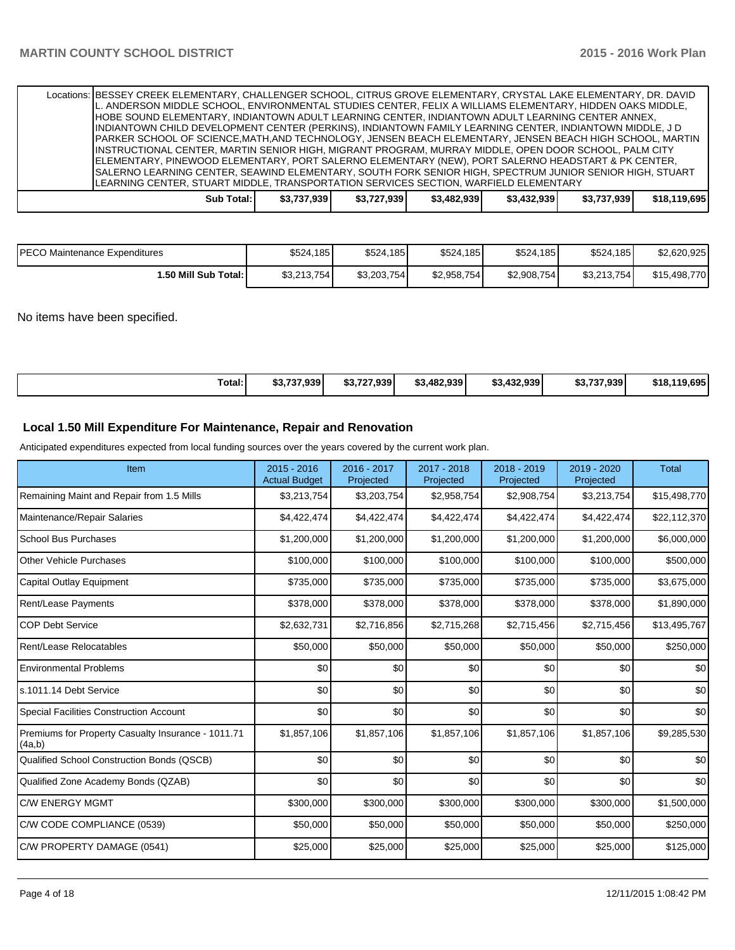|                                                                                      | Locations: BESSEY CREEK ELEMENTARY, CHALLENGER SCHOOL, CITRUS GROVE ELEMENTARY, CRYSTAL LAKE ELEMENTARY, DR. DAVID<br>L. ANDERSON MIDDLE SCHOOL, ENVIRONMENTAL STUDIES CENTER, FELIX A WILLIAMS ELEMENTARY, HIDDEN OAKS MIDDLE,<br>HOBE SOUND ELEMENTARY, INDIANTOWN ADULT LEARNING CENTER, INDIANTOWN ADULT LEARNING CENTER ANNEX,<br>IINDIANTOWN CHILD DEVELOPMENT CENTER (PERKINS), INDIANTOWN FAMILY LEARNING CENTER, INDIANTOWN MIDDLE, J D<br>PARKER SCHOOL OF SCIENCE,MATH,AND TECHNOLOGY, JENSEN BEACH ELEMENTARY, JENSEN BEACH HIGH SCHOOL, MARTIN<br>IINSTRUCTIONAL CENTER, MARTIN SENIOR HIGH, MIGRANT PROGRAM, MURRAY MIDDLE, OPEN DOOR SCHOOL, PALM CITY<br>ELEMENTARY, PINEWOOD ELEMENTARY, PORT SALERNO ELEMENTARY (NEW), PORT SALERNO HEADSTART & PK CENTER,<br>SALERNO LEARNING CENTER, SEAWIND ELEMENTARY, SOUTH FORK SENIOR HIGH, SPECTRUM JUNIOR SENIOR HIGH, STUART |  |            |             |             |             |             |             |              |
|--------------------------------------------------------------------------------------|------------------------------------------------------------------------------------------------------------------------------------------------------------------------------------------------------------------------------------------------------------------------------------------------------------------------------------------------------------------------------------------------------------------------------------------------------------------------------------------------------------------------------------------------------------------------------------------------------------------------------------------------------------------------------------------------------------------------------------------------------------------------------------------------------------------------------------------------------------------------------------------|--|------------|-------------|-------------|-------------|-------------|-------------|--------------|
| LEARNING CENTER, STUART MIDDLE, TRANSPORTATION SERVICES SECTION, WARFIELD ELEMENTARY |                                                                                                                                                                                                                                                                                                                                                                                                                                                                                                                                                                                                                                                                                                                                                                                                                                                                                          |  |            |             |             |             |             |             |              |
|                                                                                      |                                                                                                                                                                                                                                                                                                                                                                                                                                                                                                                                                                                                                                                                                                                                                                                                                                                                                          |  | Sub Total: | \$3.737.939 | \$3,727,939 | \$3,482,939 | \$3.432.939 | \$3.737.939 | \$18.119.695 |

| <b>PECO Maintenance Expenditures</b> | \$524.185    | \$524.185   | \$524,185   | \$524,185    | \$524.185   | \$2.620.925  |
|--------------------------------------|--------------|-------------|-------------|--------------|-------------|--------------|
| l.50 Mill Sub Total: I               | \$3,213,754] | \$3.203.754 | \$2,958,754 | \$2,908,754] | \$3.213.754 | \$15,498,770 |

No items have been specified.

| Total: | 60.707.000 l<br>ົນລນ<br>υJ., | \$3.727.939 | \$3.482.939<br>ሖ | 432.939<br>ሖ | \$3.737.939<br>- 11.1. | 1.695<br>\$18.119 |
|--------|------------------------------|-------------|------------------|--------------|------------------------|-------------------|
|--------|------------------------------|-------------|------------------|--------------|------------------------|-------------------|

## **Local 1.50 Mill Expenditure For Maintenance, Repair and Renovation**

Anticipated expenditures expected from local funding sources over the years covered by the current work plan.

| Item                                                         | 2015 - 2016<br><b>Actual Budget</b> | 2016 - 2017<br>Projected | 2017 - 2018<br>Projected | 2018 - 2019<br>Projected | 2019 - 2020<br>Projected | <b>Total</b> |
|--------------------------------------------------------------|-------------------------------------|--------------------------|--------------------------|--------------------------|--------------------------|--------------|
| Remaining Maint and Repair from 1.5 Mills                    | \$3,213,754                         | \$3,203,754              | \$2,958,754              | \$2,908,754              | \$3,213,754              | \$15,498,770 |
| Maintenance/Repair Salaries                                  | \$4,422,474                         | \$4,422,474              | \$4,422,474              | \$4,422,474              | \$4,422,474              | \$22,112,370 |
| <b>School Bus Purchases</b>                                  | \$1,200,000                         | \$1,200,000              | \$1,200,000              | \$1,200,000              | \$1,200,000              | \$6,000,000  |
| <b>Other Vehicle Purchases</b>                               | \$100,000                           | \$100,000                | \$100,000                | \$100,000                | \$100,000                | \$500,000    |
| Capital Outlay Equipment                                     | \$735,000                           | \$735,000                | \$735,000                | \$735,000                | \$735,000                | \$3,675,000  |
| <b>Rent/Lease Payments</b>                                   | \$378,000                           | \$378,000                | \$378,000                | \$378,000                | \$378,000                | \$1,890,000  |
| <b>COP Debt Service</b>                                      | \$2,632,731                         | \$2,716,856              | \$2,715,268              | \$2,715,456              | \$2,715,456              | \$13,495,767 |
| Rent/Lease Relocatables                                      | \$50,000                            | \$50,000                 | \$50,000                 | \$50,000                 | \$50,000                 | \$250,000    |
| <b>Environmental Problems</b>                                | \$0                                 | \$0                      | \$0                      | \$0                      | \$0                      | \$0          |
| s.1011.14 Debt Service                                       | \$0                                 | \$0                      | \$0                      | \$0                      | \$0                      | \$0          |
| Special Facilities Construction Account                      | $\Omega$                            | \$0                      | \$0                      | \$0                      | \$0                      | \$0          |
| Premiums for Property Casualty Insurance - 1011.71<br>(4a,b) | \$1,857,106                         | \$1,857,106              | \$1,857,106              | \$1,857,106              | \$1,857,106              | \$9,285,530  |
| Qualified School Construction Bonds (QSCB)                   | \$0                                 | \$0                      | \$0                      | \$0                      | \$0                      | \$0          |
| Qualified Zone Academy Bonds (QZAB)                          | \$0                                 | \$0                      | \$0                      | \$0                      | \$0                      | \$0          |
| <b>C/W ENERGY MGMT</b>                                       | \$300,000                           | \$300,000                | \$300,000                | \$300,000                | \$300,000                | \$1,500,000  |
| C/W CODE COMPLIANCE (0539)                                   | \$50,000                            | \$50,000                 | \$50,000                 | \$50,000                 | \$50,000                 | \$250,000    |
| C/W PROPERTY DAMAGE (0541)                                   | \$25,000                            | \$25,000                 | \$25,000                 | \$25,000                 | \$25,000                 | \$125,000    |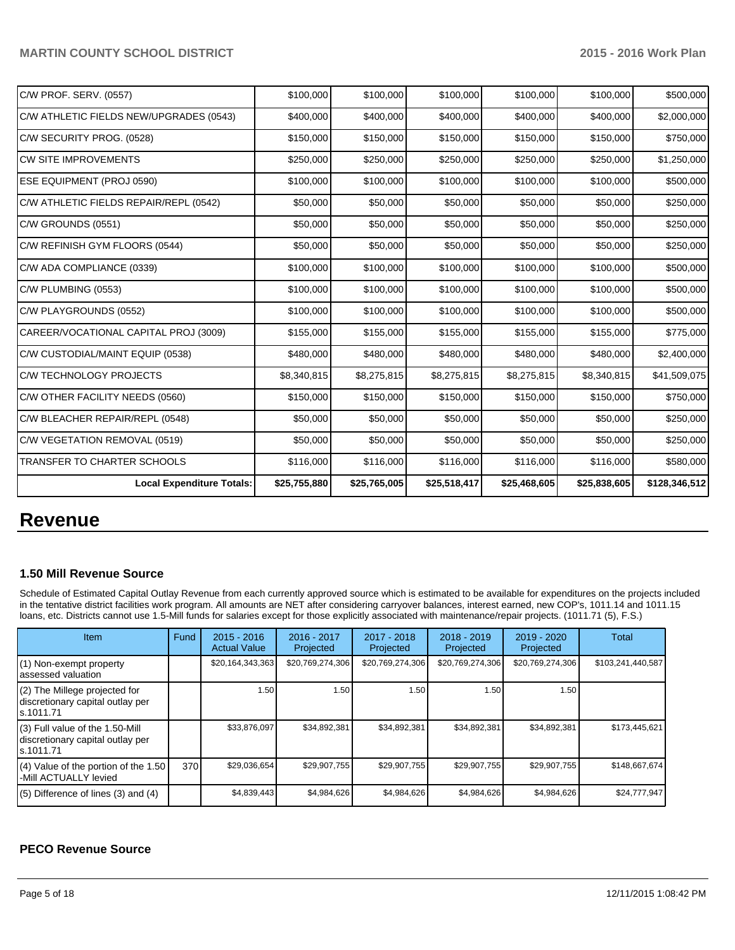| C/W PROF. SERV. (0557)                  | \$100,000    | \$100,000    | \$100,000    | \$100,000    | \$100,000    | \$500,000     |
|-----------------------------------------|--------------|--------------|--------------|--------------|--------------|---------------|
| C/W ATHLETIC FIELDS NEW/UPGRADES (0543) | \$400,000    | \$400,000    | \$400,000    | \$400,000    | \$400,000    | \$2,000,000   |
| C/W SECURITY PROG. (0528)               | \$150,000    | \$150,000    | \$150,000    | \$150,000    | \$150,000    | \$750,000     |
| ICW SITE IMPROVEMENTS                   | \$250,000    | \$250,000    | \$250,000    | \$250,000    | \$250,000    | \$1,250,000   |
| <b>ESE EQUIPMENT (PROJ 0590)</b>        | \$100,000    | \$100,000    | \$100,000    | \$100,000    | \$100,000    | \$500,000     |
| C/W ATHLETIC FIELDS REPAIR/REPL (0542)  | \$50,000     | \$50,000     | \$50,000     | \$50,000     | \$50,000     | \$250,000     |
| C/W GROUNDS (0551)                      | \$50,000     | \$50,000     | \$50,000     | \$50,000     | \$50,000     | \$250,000     |
| C/W REFINISH GYM FLOORS (0544)          | \$50,000     | \$50,000     | \$50,000     | \$50,000     | \$50,000     | \$250,000     |
| C/W ADA COMPLIANCE (0339)               | \$100,000    | \$100,000    | \$100,000    | \$100,000    | \$100,000    | \$500,000     |
| C/W PLUMBING (0553)                     | \$100,000    | \$100,000    | \$100,000    | \$100,000    | \$100,000    | \$500,000     |
| C/W PLAYGROUNDS (0552)                  | \$100,000    | \$100,000    | \$100,000    | \$100,000    | \$100,000    | \$500,000     |
| CAREER/VOCATIONAL CAPITAL PROJ (3009)   | \$155,000    | \$155,000    | \$155,000    | \$155,000    | \$155,000    | \$775,000     |
| C/W CUSTODIAL/MAINT EQUIP (0538)        | \$480,000    | \$480,000    | \$480,000    | \$480,000    | \$480,000    | \$2,400,000   |
| C/W TECHNOLOGY PROJECTS                 | \$8,340,815  | \$8,275,815  | \$8,275,815  | \$8,275,815  | \$8,340,815  | \$41,509,075  |
| C/W OTHER FACILITY NEEDS (0560)         | \$150,000    | \$150,000    | \$150,000    | \$150,000    | \$150,000    | \$750,000     |
| C/W BLEACHER REPAIR/REPL (0548)         | \$50,000     | \$50,000     | \$50,000     | \$50,000     | \$50,000     | \$250,000     |
| C/W VEGETATION REMOVAL (0519)           | \$50,000     | \$50,000     | \$50,000     | \$50,000     | \$50,000     | \$250,000     |
| <b>TRANSFER TO CHARTER SCHOOLS</b>      | \$116,000    | \$116,000    | \$116,000    | \$116,000    | \$116,000    | \$580,000     |
| <b>Local Expenditure Totals:</b>        | \$25,755,880 | \$25,765,005 | \$25,518,417 | \$25,468,605 | \$25,838,605 | \$128,346,512 |

# **Revenue**

#### **1.50 Mill Revenue Source**

Schedule of Estimated Capital Outlay Revenue from each currently approved source which is estimated to be available for expenditures on the projects included in the tentative district facilities work program. All amounts are NET after considering carryover balances, interest earned, new COP's, 1011.14 and 1011.15 loans, etc. Districts cannot use 1.5-Mill funds for salaries except for those explicitly associated with maintenance/repair projects. (1011.71 (5), F.S.)

| <b>Item</b>                                                                         | Fund | $2015 - 2016$<br><b>Actual Value</b> | $2016 - 2017$<br>Projected | $2017 - 2018$<br>Projected | $2018 - 2019$<br>Projected | 2019 - 2020<br>Projected | Total             |
|-------------------------------------------------------------------------------------|------|--------------------------------------|----------------------------|----------------------------|----------------------------|--------------------------|-------------------|
| (1) Non-exempt property<br>lassessed valuation                                      |      | \$20,164,343,363                     | \$20,769,274,306           | \$20,769,274,306           | \$20,769,274,306           | \$20,769,274,306         | \$103,241,440,587 |
| (2) The Millege projected for<br>discretionary capital outlay per<br>ls.1011.71     |      | 1.50                                 | 1.50                       | 1.50                       | 1.50                       | 1.50                     |                   |
| $(3)$ Full value of the 1.50-Mill<br>discretionary capital outlay per<br>ls.1011.71 |      | \$33.876.097                         | \$34.892.381               | \$34,892,381               | \$34,892,381               | \$34.892.381             | \$173,445,621     |
| $(4)$ Value of the portion of the 1.50<br>I-Mill ACTUALLY levied                    | 370  | \$29,036,654                         | \$29,907,755               | \$29,907,755               | \$29,907,755               | \$29,907,755             | \$148,667,674     |
| $(5)$ Difference of lines (3) and (4)                                               |      | \$4,839,443                          | \$4,984,626                | \$4,984,626                | \$4,984,626                | \$4,984,626              | \$24,777,947      |

## **PECO Revenue Source**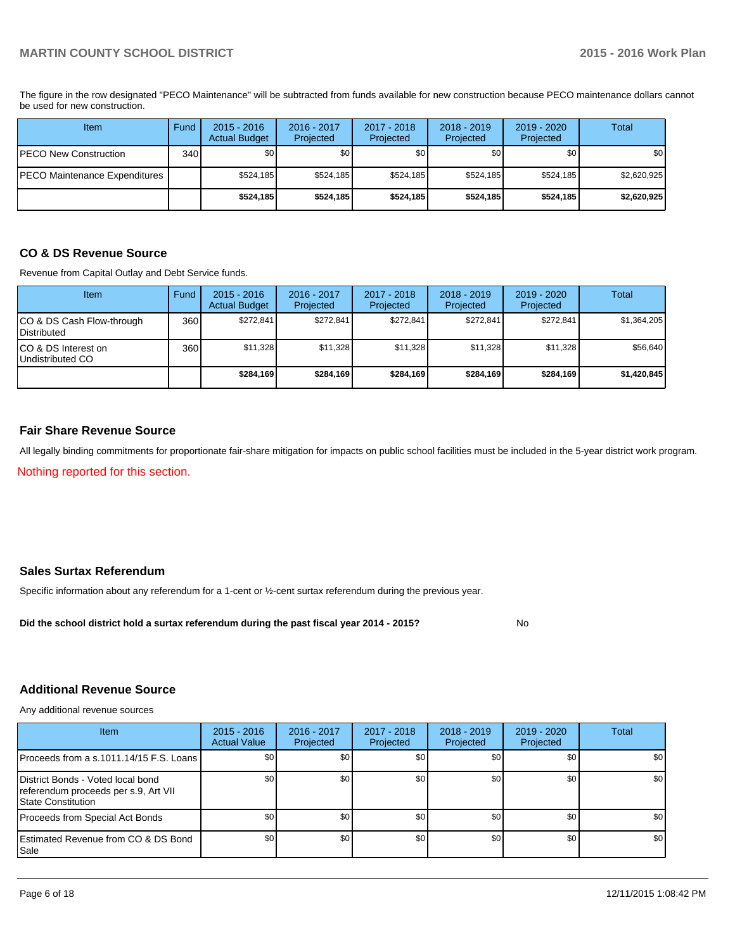The figure in the row designated "PECO Maintenance" will be subtracted from funds available for new construction because PECO maintenance dollars cannot be used for new construction.

| Item                          | Fund | $2015 - 2016$<br><b>Actual Budget</b> | 2016 - 2017<br>Projected | 2017 - 2018<br>Projected | $2018 - 2019$<br>Projected | 2019 - 2020<br>Projected | Total            |
|-------------------------------|------|---------------------------------------|--------------------------|--------------------------|----------------------------|--------------------------|------------------|
| PECO New Construction         | 340  | \$0                                   | \$0 <sub>1</sub>         | \$0                      | \$0                        | \$0                      | \$0 <sub>1</sub> |
| PECO Maintenance Expenditures |      | \$524,185                             | \$524,185                | \$524.185                | \$524,185                  | \$524,185                | \$2,620,925      |
|                               |      | \$524,185                             | \$524.185                | \$524.185                | \$524,185                  | \$524,185                | \$2,620,925      |

### **CO & DS Revenue Source**

Revenue from Capital Outlay and Debt Service funds.

| Item                                               | Fund             | $2015 - 2016$<br><b>Actual Budget</b> | $2016 - 2017$<br>Projected | $2017 - 2018$<br>Projected | $2018 - 2019$<br>Projected | $2019 - 2020$<br>Projected | Total       |
|----------------------------------------------------|------------------|---------------------------------------|----------------------------|----------------------------|----------------------------|----------------------------|-------------|
| ICO & DS Cash Flow-through<br><b>I</b> Distributed | 360 <sup>1</sup> | \$272.841                             | \$272.841                  | \$272.841                  | \$272.841                  | \$272.841                  | \$1,364,205 |
| ICO & DS Interest on<br>Undistributed CO           | 360              | \$11,328                              | \$11,328                   | \$11,328                   | \$11.328                   | \$11,328                   | \$56,640    |
|                                                    |                  | \$284,169                             | \$284.169                  | \$284.169                  | \$284.169                  | \$284.169                  | \$1,420,845 |

#### **Fair Share Revenue Source**

All legally binding commitments for proportionate fair-share mitigation for impacts on public school facilities must be included in the 5-year district work program.

Nothing reported for this section.

### **Sales Surtax Referendum**

Specific information about any referendum for a 1-cent or ½-cent surtax referendum during the previous year.

**Did the school district hold a surtax referendum during the past fiscal year 2014 - 2015?**

No

#### **Additional Revenue Source**

Any additional revenue sources

| Item                                                                                                    | $2015 - 2016$<br><b>Actual Value</b> | 2016 - 2017<br>Projected | 2017 - 2018<br>Projected | $2018 - 2019$<br>Projected | $2019 - 2020$<br>Projected | Total            |
|---------------------------------------------------------------------------------------------------------|--------------------------------------|--------------------------|--------------------------|----------------------------|----------------------------|------------------|
| IProceeds from a s.1011.14/15 F.S. Loans I                                                              | \$0 <sub>0</sub>                     | \$0 <sub>1</sub>         | \$0                      | \$0                        | \$0                        | \$0 <sub>1</sub> |
| District Bonds - Voted local bond<br>referendum proceeds per s.9, Art VII<br><b>IState Constitution</b> | \$0                                  | \$0                      | \$0                      | \$0                        | \$0                        | \$0              |
| Proceeds from Special Act Bonds                                                                         | \$0 <sub>0</sub>                     | \$0                      | \$0                      | \$0                        | \$0                        | \$0              |
| <b>Estimated Revenue from CO &amp; DS Bond</b><br>l Sale                                                | \$0 <sub>1</sub>                     | \$0                      | \$0                      | \$0                        | \$0                        | \$0              |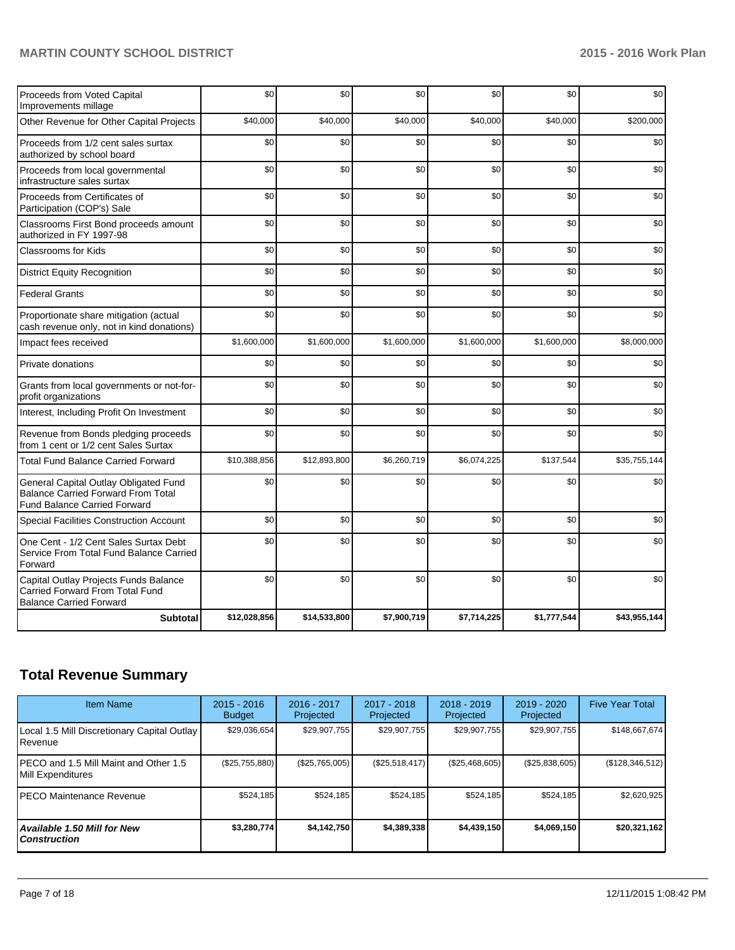| Proceeds from Voted Capital<br>Improvements millage                                                                       | \$0          | \$0          | \$0         | \$0         | \$0         | \$0          |
|---------------------------------------------------------------------------------------------------------------------------|--------------|--------------|-------------|-------------|-------------|--------------|
| Other Revenue for Other Capital Projects                                                                                  | \$40,000     | \$40,000     | \$40,000    | \$40,000    | \$40,000    | \$200,000    |
| Proceeds from 1/2 cent sales surtax<br>authorized by school board                                                         | \$0          | \$0          | \$0         | \$0         | \$0         | \$0          |
| Proceeds from local governmental<br>infrastructure sales surtax                                                           | \$0          | \$0          | \$0         | \$0         | \$0         | \$0          |
| Proceeds from Certificates of<br>Participation (COP's) Sale                                                               | \$0          | \$0          | \$0         | \$0         | \$0         | \$0          |
| Classrooms First Bond proceeds amount<br>authorized in FY 1997-98                                                         | \$0          | \$0          | \$0         | \$0         | \$0         | \$0          |
| Classrooms for Kids                                                                                                       | \$0          | \$0          | \$0         | \$0         | \$0         | \$0          |
| <b>District Equity Recognition</b>                                                                                        | \$0          | \$0          | \$0         | \$0         | \$0         | \$0          |
| <b>Federal Grants</b>                                                                                                     | \$0          | \$0          | \$0         | \$0         | \$0         | \$0          |
| Proportionate share mitigation (actual<br>cash revenue only, not in kind donations)                                       | \$0          | \$0          | \$0         | \$0         | \$0         | \$0          |
| Impact fees received                                                                                                      | \$1,600,000  | \$1,600,000  | \$1,600,000 | \$1,600,000 | \$1,600,000 | \$8,000,000  |
| Private donations                                                                                                         | \$0          | \$0          | \$0         | \$0         | \$0         | \$0          |
| Grants from local governments or not-for-<br>profit organizations                                                         | \$0          | \$0          | \$0         | \$0         | \$0         | \$0          |
| Interest, Including Profit On Investment                                                                                  | \$0          | \$0          | \$0         | \$0         | \$0         | \$0          |
| Revenue from Bonds pledging proceeds<br>from 1 cent or 1/2 cent Sales Surtax                                              | \$0          | \$0          | \$0         | \$0         | \$0         | \$0          |
| <b>Total Fund Balance Carried Forward</b>                                                                                 | \$10,388,856 | \$12,893,800 | \$6,260,719 | \$6,074,225 | \$137,544   | \$35,755,144 |
| General Capital Outlay Obligated Fund<br><b>Balance Carried Forward From Total</b><br><b>Fund Balance Carried Forward</b> | \$0          | \$0          | \$0         | \$0         | \$0         | \$0          |
| Special Facilities Construction Account                                                                                   | \$0          | \$0          | \$0         | \$0         | \$0         | \$0          |
| One Cent - 1/2 Cent Sales Surtax Debt<br>Service From Total Fund Balance Carried<br>Forward                               | \$0          | \$0          | \$0         | \$0         | \$0         | \$0          |
| Capital Outlay Projects Funds Balance<br>Carried Forward From Total Fund<br><b>Balance Carried Forward</b>                | \$0          | \$0          | \$0         | \$0         | \$0         | \$0          |
| <b>Subtotal</b>                                                                                                           | \$12,028,856 | \$14,533,800 | \$7,900,719 | \$7,714,225 | \$1,777,544 | \$43,955,144 |

## **Total Revenue Summary**

| <b>Item Name</b>                                           | $2015 - 2016$<br><b>Budget</b> | $2016 - 2017$<br>Projected | $2017 - 2018$<br>Projected | $2018 - 2019$<br>Projected | 2019 - 2020<br>Projected | <b>Five Year Total</b> |
|------------------------------------------------------------|--------------------------------|----------------------------|----------------------------|----------------------------|--------------------------|------------------------|
| Local 1.5 Mill Discretionary Capital Outlay<br>Revenue     | \$29,036,654                   | \$29,907,755               | \$29,907,755               | \$29,907,755               | \$29,907,755             | \$148,667,674          |
| PECO and 1.5 Mill Maint and Other 1.5<br>Mill Expenditures | (\$25,755,880)                 | (\$25,765,005)             | (S25, 518, 417)            | (\$25,468,605)             | (\$25,838,605)           | (\$128,346,512)        |
| <b>PECO Maintenance Revenue</b>                            | \$524,185                      | \$524,185                  | \$524.185                  | \$524,185                  | \$524,185                | \$2,620,925            |
| <b>Available 1.50 Mill for New</b><br><b>Construction</b>  | \$3,280,774                    | \$4,142,750                | \$4,389,338                | \$4,439,150                | \$4,069,150              | \$20,321,162           |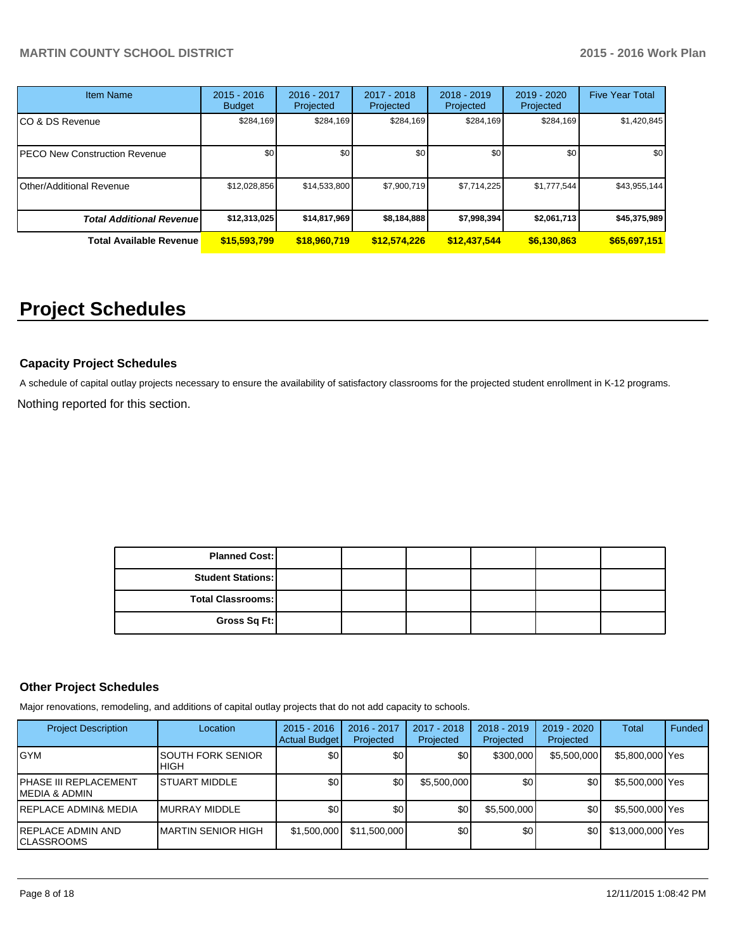| <b>Item Name</b>                 | $2015 - 2016$<br><b>Budget</b> | 2016 - 2017<br>Projected | $2017 - 2018$<br>Projected | $2018 - 2019$<br>Projected | 2019 - 2020<br>Projected | <b>Five Year Total</b> |
|----------------------------------|--------------------------------|--------------------------|----------------------------|----------------------------|--------------------------|------------------------|
| CO & DS Revenue                  | \$284,169                      | \$284,169                | \$284,169                  | \$284,169                  | \$284,169                | \$1,420,845            |
| PECO New Construction Revenue    | \$0                            | \$0                      | \$0                        | \$0                        | \$0                      | \$0 <sub>1</sub>       |
| Other/Additional Revenue         | \$12,028,856                   | \$14,533,800             | \$7,900,719                | \$7,714,225                | \$1,777,544              | \$43,955,144           |
| <b>Total Additional Revenuel</b> | \$12,313,025                   | \$14,817,969             | \$8,184,888                | \$7,998,394                | \$2,061,713              | \$45,375,989           |
| <b>Total Available Revenue</b>   | \$15,593,799                   | \$18,960,719             | \$12,574,226               | \$12,437,544               | \$6,130,863              | \$65,697,151           |

# **Project Schedules**

### **Capacity Project Schedules**

Nothing reported for this section. A schedule of capital outlay projects necessary to ensure the availability of satisfactory classrooms for the projected student enrollment in K-12 programs.

> **Total Classrooms: Gross Sq Ft: Planned Cost: Student Stations:**

## **Other Project Schedules**

Major renovations, remodeling, and additions of capital outlay projects that do not add capacity to schools.

| <b>Project Description</b>                        | Location                    | $2015 - 2016$<br>Actual Budget | 2016 - 2017<br>Projected | 2017 - 2018<br>Projected | $2018 - 2019$<br>Projected | $2019 - 2020$<br>Projected | Total            | Funded |
|---------------------------------------------------|-----------------------------|--------------------------------|--------------------------|--------------------------|----------------------------|----------------------------|------------------|--------|
| <b>GYM</b>                                        | ISOUTH FORK SENIOR<br>IHIGH | \$0 <sub>1</sub>               | \$0                      | \$0 <sub>1</sub>         | \$300,000                  | \$5,500,000                | \$5,800,000 Yes  |        |
| PHASE III REPLACEMENT<br><b>MEDIA &amp; ADMIN</b> | <b>ISTUART MIDDLE</b>       | \$0 <sub>1</sub>               | \$0                      | \$5,500,000              | \$0                        | \$0                        | \$5,500,000 Yes  |        |
| <b>REPLACE ADMIN&amp; MEDIA</b>                   | <b>IMURRAY MIDDLE</b>       | \$0                            | \$0                      | \$0                      | \$5,500,000                | \$0                        | \$5,500,000 Yes  |        |
| REPLACE ADMIN AND<br><b>CLASSROOMS</b>            | <b>IMARTIN SENIOR HIGH</b>  | \$1,500,000                    | \$11,500,000             | \$0                      | \$0                        | \$0                        | \$13,000,000 Yes |        |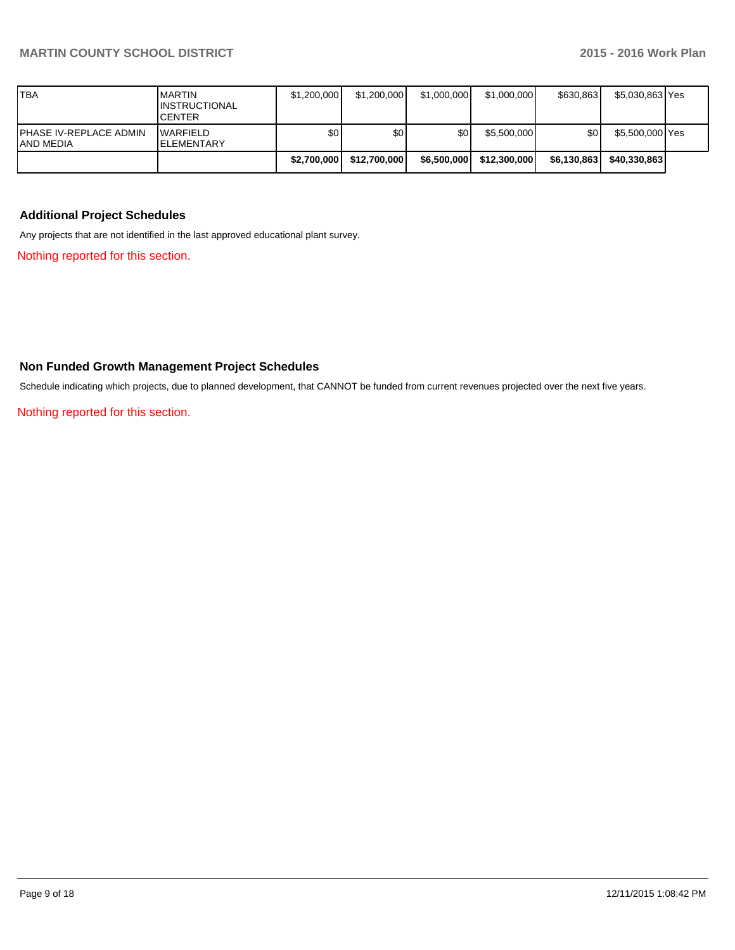| <b>TBA</b>                          | <b>IMARTIN</b><br><b>IINSTRUCTIONAL</b><br><b>ICENTER</b> | \$1,200,000 | \$1,200,000      | \$1,000,000 | \$1,000,000  | \$630.863   | \$5,030,863 Yes |  |
|-------------------------------------|-----------------------------------------------------------|-------------|------------------|-------------|--------------|-------------|-----------------|--|
| PHASE IV-REPLACE ADMIN<br>AND MEDIA | <b>WARFIELD</b><br><b>IELEMENTARY</b>                     | \$0         | \$0 <sub>0</sub> | ا 30        | \$5,500,000  | ا 30        | \$5,500,000 Yes |  |
|                                     |                                                           | \$2,700,000 | \$12,700,000     | \$6,500,000 | \$12,300,000 | \$6,130,863 | \$40,330,863    |  |

### **Additional Project Schedules**

Any projects that are not identified in the last approved educational plant survey.

Nothing reported for this section.

### **Non Funded Growth Management Project Schedules**

Schedule indicating which projects, due to planned development, that CANNOT be funded from current revenues projected over the next five years.

Nothing reported for this section.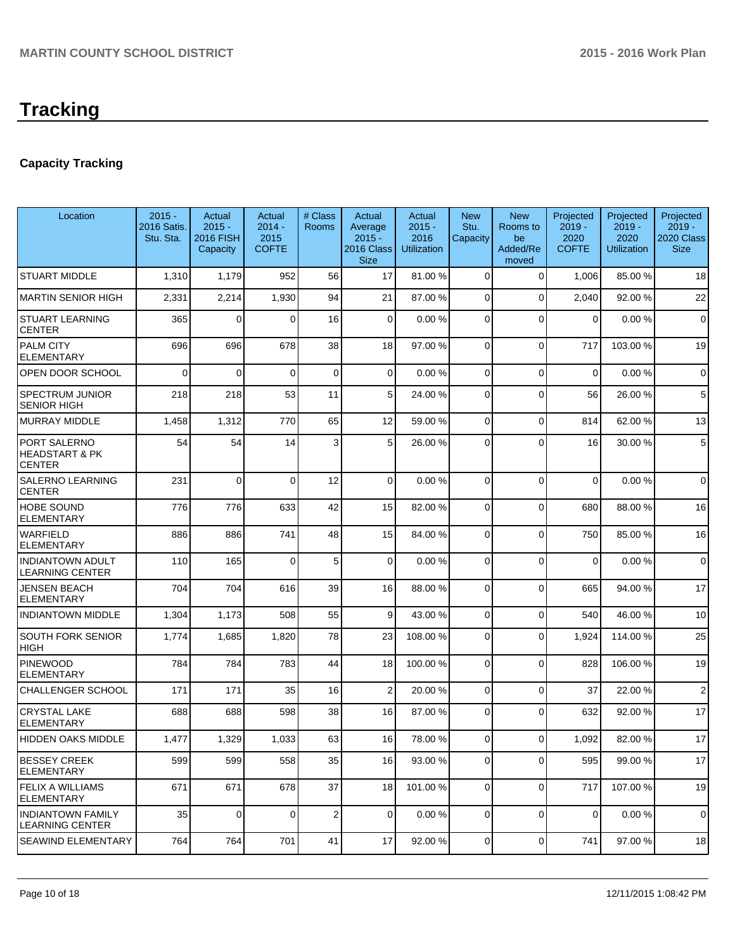## **Capacity Tracking**

| Location                                        | $2015 -$<br>2016 Satis.<br>Stu. Sta. | Actual<br>$2015 -$<br><b>2016 FISH</b><br>Capacity | Actual<br>$2014 -$<br>2015<br><b>COFTE</b> | # Class<br>Rooms        | Actual<br>Average<br>$2015 -$<br>2016 Class<br><b>Size</b> | Actual<br>$2015 -$<br>2016<br><b>Utilization</b> | <b>New</b><br>Stu.<br>Capacity | <b>New</b><br>Rooms to<br>be<br>Added/Re<br>moved | Projected<br>$2019 -$<br>2020<br><b>COFTE</b> | Projected<br>$2019 -$<br>2020<br><b>Utilization</b> | Projected<br>$2019 -$<br>2020 Class<br><b>Size</b> |
|-------------------------------------------------|--------------------------------------|----------------------------------------------------|--------------------------------------------|-------------------------|------------------------------------------------------------|--------------------------------------------------|--------------------------------|---------------------------------------------------|-----------------------------------------------|-----------------------------------------------------|----------------------------------------------------|
| <b>STUART MIDDLE</b>                            | 1,310                                | 1,179                                              | 952                                        | 56                      | 17                                                         | 81.00 %                                          | 0                              | $\mathbf 0$                                       | 1,006                                         | 85.00 %                                             | 18                                                 |
| MARTIN SENIOR HIGH                              | 2,331                                | 2,214                                              | 1,930                                      | 94                      | 21                                                         | 87.00 %                                          | $\overline{0}$                 | $\Omega$                                          | 2,040                                         | 92.00%                                              | 22                                                 |
| <b>STUART LEARNING</b><br><b>CENTER</b>         | 365                                  | 0                                                  | $\Omega$                                   | 16                      | $\overline{0}$                                             | 0.00%                                            | $\overline{0}$                 | $\Omega$                                          | 0                                             | 0.00%                                               | $\mathbf 0$                                        |
| <b>PALM CITY</b><br>ELEMENTARY                  | 696                                  | 696                                                | 678                                        | 38                      | 18                                                         | 97.00 %                                          | $\overline{0}$                 | $\Omega$                                          | 717                                           | 103.00%                                             | 19                                                 |
| OPEN DOOR SCHOOL                                | 0                                    | $\mathbf 0$                                        | $\Omega$                                   | $\mathbf 0$             | $\overline{0}$                                             | 0.00%                                            | $\mathbf 0$                    | $\Omega$                                          | $\mathbf 0$                                   | 0.00%                                               | $\mathbf 0$                                        |
| <b>SPECTRUM JUNIOR</b><br>SENIOR HIGH           | 218                                  | 218                                                | 53                                         | 11                      | 5 <sup>1</sup>                                             | 24.00 %                                          | 0                              | $\mathbf 0$                                       | 56                                            | 26.00%                                              | 5                                                  |
| <b>MURRAY MIDDLE</b>                            | 1,458                                | 1,312                                              | 770                                        | 65                      | 12                                                         | 59.00 %                                          | $\overline{0}$                 | $\mathbf 0$                                       | 814                                           | 62.00%                                              | 13                                                 |
| PORT SALERNO<br>HEADSTART & PK<br><b>CENTER</b> | 54                                   | 54                                                 | 14                                         | 3                       | 5                                                          | 26.00 %                                          | 0                              | $\Omega$                                          | 16                                            | 30.00 %                                             | 5                                                  |
| SALERNO LEARNING<br><b>CENTER</b>               | 231                                  | 0                                                  | $\Omega$                                   | 12                      | $\overline{0}$                                             | 0.00%                                            | 0                              | $\Omega$                                          | $\mathbf 0$                                   | 0.00%                                               | $\mathbf 0$                                        |
| <b>HOBE SOUND</b><br>ELEMENTARY                 | 776                                  | 776                                                | 633                                        | 42                      | 15                                                         | 82.00 %                                          | 0                              | $\Omega$                                          | 680                                           | 88.00 %                                             | 16                                                 |
| <b>WARFIELD</b><br><b>ELEMENTARY</b>            | 886                                  | 886                                                | 741                                        | 48                      | 15                                                         | 84.00 %                                          | $\overline{0}$                 | $\Omega$                                          | 750                                           | 85.00 %                                             | 16                                                 |
| <b>INDIANTOWN ADULT</b><br>LEARNING CENTER      | 110                                  | 165                                                | $\Omega$                                   | 5                       | $\overline{0}$                                             | 0.00%                                            | $\Omega$                       | $\Omega$                                          | $\mathbf{0}$                                  | 0.00%                                               | $\mathbf 0$                                        |
| <b>JENSEN BEACH</b><br>ELEMENTARY               | 704                                  | 704                                                | 616                                        | 39                      | 16                                                         | 88.00 %                                          | $\mathbf 0$                    | $\Omega$                                          | 665                                           | 94.00%                                              | 17                                                 |
| <b>INDIANTOWN MIDDLE</b>                        | 1,304                                | 1,173                                              | 508                                        | 55                      | 9                                                          | 43.00 %                                          | $\overline{0}$                 | $\Omega$                                          | 540                                           | 46.00%                                              | 10                                                 |
| <b>SOUTH FORK SENIOR</b><br><b>HIGH</b>         | 1,774                                | 1,685                                              | 1,820                                      | 78                      | 23                                                         | 108.00 %                                         | 0                              | $\Omega$                                          | 1,924                                         | 114.00%                                             | 25                                                 |
| <b>PINEWOOD</b><br><b>ELEMENTARY</b>            | 784                                  | 784                                                | 783                                        | 44                      | 18                                                         | 100.00 %                                         | $\overline{0}$                 | $\Omega$                                          | 828                                           | 106.00%                                             | 19                                                 |
| CHALLENGER SCHOOL                               | 171                                  | 171                                                | 35                                         | 16                      | $\overline{2}$                                             | 20.00 %                                          | $\overline{0}$                 | $\Omega$                                          | 37                                            | 22.00 %                                             | $\overline{2}$                                     |
| <b>CRYSTAL LAKE</b><br><b>ELEMENTARY</b>        | 688                                  | 688                                                | 598                                        | 38                      | 16                                                         | 87.00 %                                          | $\Omega$                       | $\Omega$                                          | 632                                           | 92.00%                                              | 17                                                 |
| HIDDEN OAKS MIDDLE                              | 1,477                                | 1,329                                              | 1,033                                      | 63                      | 16I                                                        | 78.00 %                                          | $\Omega$                       | $\Omega$                                          | 1,092                                         | 82.00%                                              | 17                                                 |
| <b>BESSEY CREEK</b><br>ELEMENTARY               | 599                                  | 599                                                | 558                                        | 35                      | 16                                                         | 93.00 %                                          | 0                              | $\mathbf 0$                                       | 595                                           | 99.00 %                                             | 17                                                 |
| <b>FELIX A WILLIAMS</b><br><b>ELEMENTARY</b>    | 671                                  | 671                                                | 678                                        | 37                      | 18                                                         | 101.00%                                          | $\overline{0}$                 | $\Omega$                                          | 717                                           | 107.00%                                             | 19                                                 |
| INDIANTOWN FAMILY<br><b>LEARNING CENTER</b>     | 35                                   | 0                                                  | $\overline{0}$                             | $\overline{\mathbf{c}}$ | $\overline{0}$                                             | 0.00%                                            | $\overline{0}$                 | $\mathbf 0$                                       | 0                                             | 0.00%                                               | $\mathbf 0$                                        |
| SEAWIND ELEMENTARY                              | 764                                  | 764                                                | 701                                        | 41                      | 17                                                         | 92.00 %                                          | $\overline{0}$                 | $\mathbf 0$                                       | 741                                           | 97.00 %                                             | 18                                                 |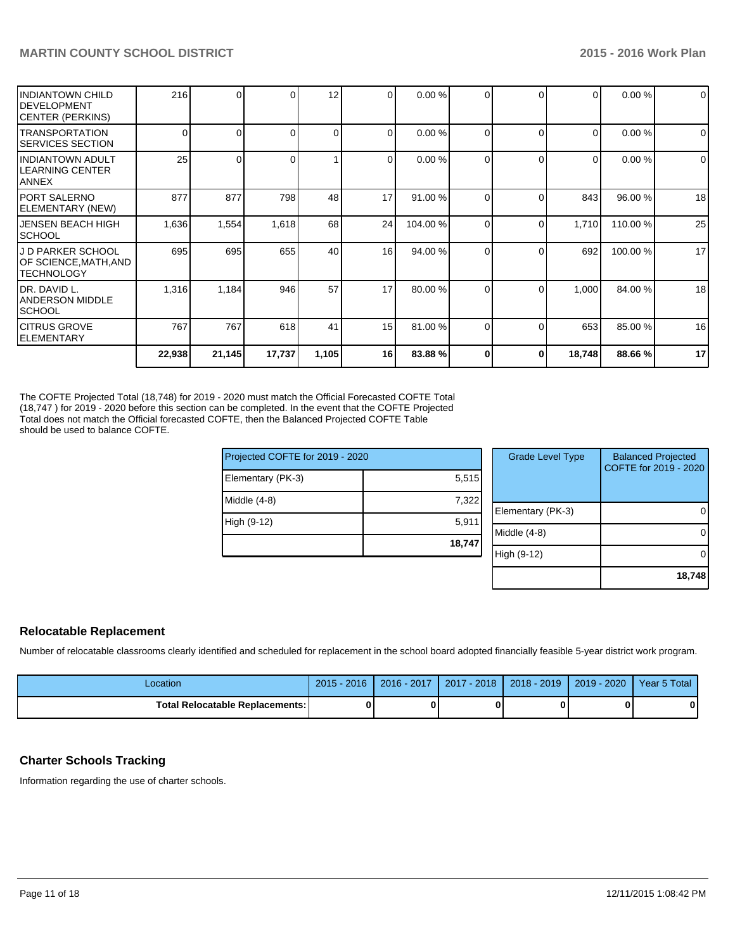| <b>IINDIANTOWN CHILD</b><br>IDEVELOPMENT<br> CENTER (PERKINS) | 216    | 0      | ΩI       | 12       | $\overline{0}$  | 0.00%    | $\Omega$     | ∩        | $\Omega$       | 0.00%   | $\overline{0}$ |
|---------------------------------------------------------------|--------|--------|----------|----------|-----------------|----------|--------------|----------|----------------|---------|----------------|
| <b>ITRANSPORTATION</b><br><b>ISERVICES SECTION</b>            | 0      | 0      | $\Omega$ | $\Omega$ | $\Omega$        | 0.00 %   | $\Omega$     | $\Omega$ | $\overline{0}$ | 0.00%   | $\overline{0}$ |
| IINDIANTOWN ADULT<br>ILEARNING CENTER<br><b>ANNEX</b>         | 25     |        |          |          | $\Omega$        | 0.00%    | 0            |          | $\overline{0}$ | 0.00%   | $\overline{0}$ |
| IPORT SALERNO<br><b>IELEMENTARY (NEW)</b>                     | 877    | 877    | 798      | 48       | 17              | 91.00 %  | $\Omega$     | C        | 843            | 96.00 % | 18             |
| <b>JENSEN BEACH HIGH</b><br>ISCHOOL                           | 1,636  | 1,554  | 1,618    | 68       | 24              | 104.00 % | $\Omega$     | C        | 1,710          | 110.00% | 25             |
| IJ D PARKER SCHOOL<br>OF SCIENCE,MATH,AND<br>ITECHNOLOGY      | 695    | 695    | 655      | 40       | 16 <sup>l</sup> | 94.00 %  | $\Omega$     | C        | 692            | 100.00% | 17             |
| IDR. DAVID L.<br>IANDERSON MIDDLE<br><b>ISCHOOL</b>           | 1,316  | 1,184  | 946      | 57       | 17              | 80.00 %  | <sup>0</sup> | C        | 1,000          | 84.00 % | 18             |
| ICITRUS GROVE<br>IELEMENTARY                                  | 767    | 767    | 618      | 41       | 15 <sup>1</sup> | 81.00 %  | $\Omega$     | ſ        | 653            | 85.00 % | 16             |
|                                                               | 22,938 | 21,145 | 17,737   | 1,105    | 16              | 83.88%   | 0            | 0        | 18,748         | 88.66%  | 17             |

The COFTE Projected Total (18,748) for 2019 - 2020 must match the Official Forecasted COFTE Total (18,747 ) for 2019 - 2020 before this section can be completed. In the event that the COFTE Projected Total does not match the Official forecasted COFTE, then the Balanced Projected COFTE Table should be used to balance COFTE.

| Projected COFTE for 2019 - 2020 |        | <b>Grade Level Type</b> | <b>Balanced Projected</b><br>COFTE for 2019 - 2020 |
|---------------------------------|--------|-------------------------|----------------------------------------------------|
| Elementary (PK-3)               | 5,515  |                         |                                                    |
| Middle (4-8)                    | 7,322  |                         |                                                    |
|                                 |        | Elementary (PK-3)       | 0                                                  |
| High (9-12)                     | 5,911  |                         |                                                    |
|                                 | 18,747 | Middle (4-8)            | 0                                                  |
|                                 |        | High (9-12)             | $\Omega$                                           |
|                                 |        |                         |                                                    |
|                                 |        |                         | 18,748                                             |

## **Relocatable Replacement**

Number of relocatable classrooms clearly identified and scheduled for replacement in the school board adopted financially feasible 5-year district work program.

| -ocation                                 | $2015 - 2016$ | $2016 - 2017$ | 2017 - 2018 | $2018 - 2019$ | 2019 - 2020 | Year 5 Total |
|------------------------------------------|---------------|---------------|-------------|---------------|-------------|--------------|
| <b>Total Relocatable Replacements: I</b> |               |               |             |               |             |              |

## **Charter Schools Tracking**

Information regarding the use of charter schools.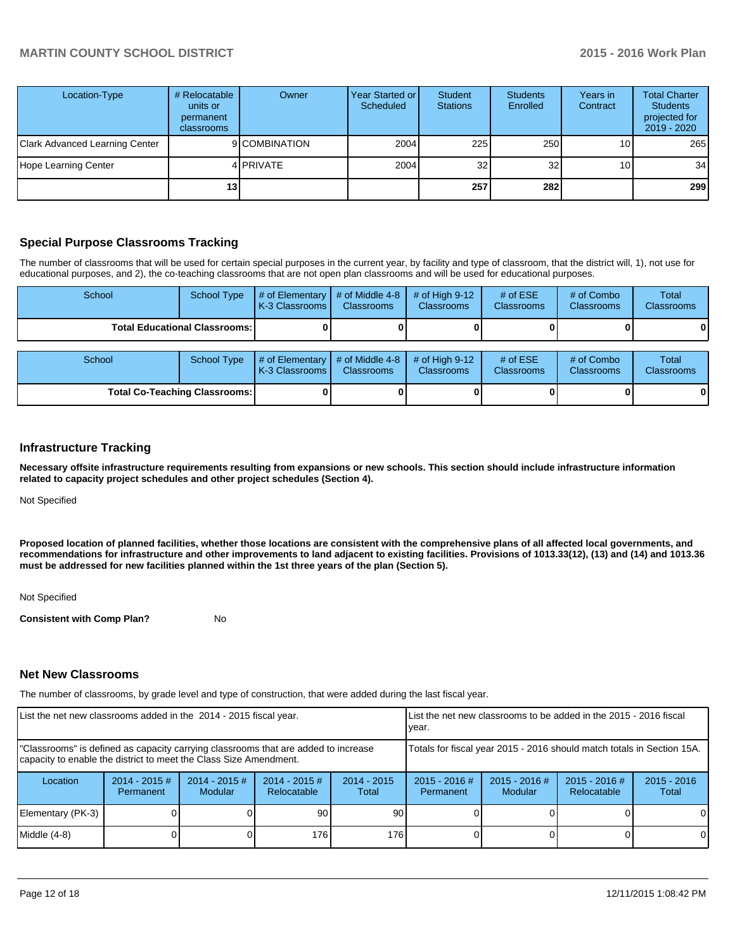| Location-Type                         | # Relocatable<br>units or<br>permanent<br>classrooms | Owner         | Year Started or<br>Scheduled | Student<br><b>Stations</b> | <b>Students</b><br>Enrolled | Years in<br>Contract | <b>Total Charter</b><br><b>Students</b><br>projected for<br>2019 - 2020 |
|---------------------------------------|------------------------------------------------------|---------------|------------------------------|----------------------------|-----------------------------|----------------------|-------------------------------------------------------------------------|
| <b>Clark Advanced Learning Center</b> |                                                      | 9 COMBINATION | 2004                         | 225                        | 250                         | 10 <sub>1</sub>      | 265                                                                     |
| Hope Learning Center                  |                                                      | 4 PRIVATE     | 2004                         | 32                         | 32                          | 10 <sub>1</sub>      | 34                                                                      |
|                                       | 13 I                                                 |               |                              | 257                        | 282                         |                      | 299                                                                     |

## **Special Purpose Classrooms Tracking**

The number of classrooms that will be used for certain special purposes in the current year, by facility and type of classroom, that the district will, 1), not use for educational purposes, and 2), the co-teaching classrooms that are not open plan classrooms and will be used for educational purposes.

| School                               | School Type                     | # of Elementary<br>K-3 Classrooms | # of Middle 4-8<br><b>Classrooms</b>   | # of High $9-12$<br><b>Classrooms</b> | # of $ESE$<br>Classrooms | # of Combo<br><b>Classrooms</b> | <b>Total</b><br><b>Classrooms</b> |
|--------------------------------------|---------------------------------|-----------------------------------|----------------------------------------|---------------------------------------|--------------------------|---------------------------------|-----------------------------------|
|                                      | Total Educational Classrooms: I |                                   |                                        |                                       |                          |                                 | 0                                 |
| School                               | <b>School Type</b>              | # of Elementary<br>K-3 Classrooms | $#$ of Middle 4-8<br><b>Classrooms</b> | # of High $9-12$<br><b>Classrooms</b> | # of $ESE$<br>Classrooms | # of Combo<br><b>Classrooms</b> | Total<br><b>Classrooms</b>        |
| <b>Total Co-Teaching Classrooms:</b> |                                 |                                   |                                        |                                       |                          |                                 | $\mathbf{0}$                      |

### **Infrastructure Tracking**

**Necessary offsite infrastructure requirements resulting from expansions or new schools. This section should include infrastructure information related to capacity project schedules and other project schedules (Section 4).**

Not Specified

**Proposed location of planned facilities, whether those locations are consistent with the comprehensive plans of all affected local governments, and recommendations for infrastructure and other improvements to land adjacent to existing facilities. Provisions of 1013.33(12), (13) and (14) and 1013.36 must be addressed for new facilities planned within the 1st three years of the plan (Section 5).**

Not Specified

**Consistent with Comp Plan?** No

#### **Net New Classrooms**

The number of classrooms, by grade level and type of construction, that were added during the last fiscal year.

| List the net new classrooms added in the 2014 - 2015 fiscal year.                                                                                       |                              |                                   |                                |                                                                        | Llist the net new classrooms to be added in the 2015 - 2016 fiscal<br>Ivear. |                            |                                |                        |
|---------------------------------------------------------------------------------------------------------------------------------------------------------|------------------------------|-----------------------------------|--------------------------------|------------------------------------------------------------------------|------------------------------------------------------------------------------|----------------------------|--------------------------------|------------------------|
| "Classrooms" is defined as capacity carrying classrooms that are added to increase<br>capacity to enable the district to meet the Class Size Amendment. |                              |                                   |                                | Totals for fiscal year 2015 - 2016 should match totals in Section 15A. |                                                                              |                            |                                |                        |
| Location                                                                                                                                                | $2014 - 2015$ #<br>Permanent | $2014 - 2015$ #<br><b>Modular</b> | $2014 - 2015$ #<br>Relocatable | $2014 - 2015$<br>Total                                                 | $2015 - 2016$ #<br>Permanent                                                 | $2015 - 2016$ #<br>Modular | $2015 - 2016$ #<br>Relocatable | $2015 - 2016$<br>Total |
| Elementary (PK-3)                                                                                                                                       |                              |                                   | 90                             | 90                                                                     |                                                                              |                            |                                | 0                      |
| Middle (4-8)                                                                                                                                            |                              |                                   | 176                            | 176                                                                    |                                                                              |                            |                                | $\Omega$               |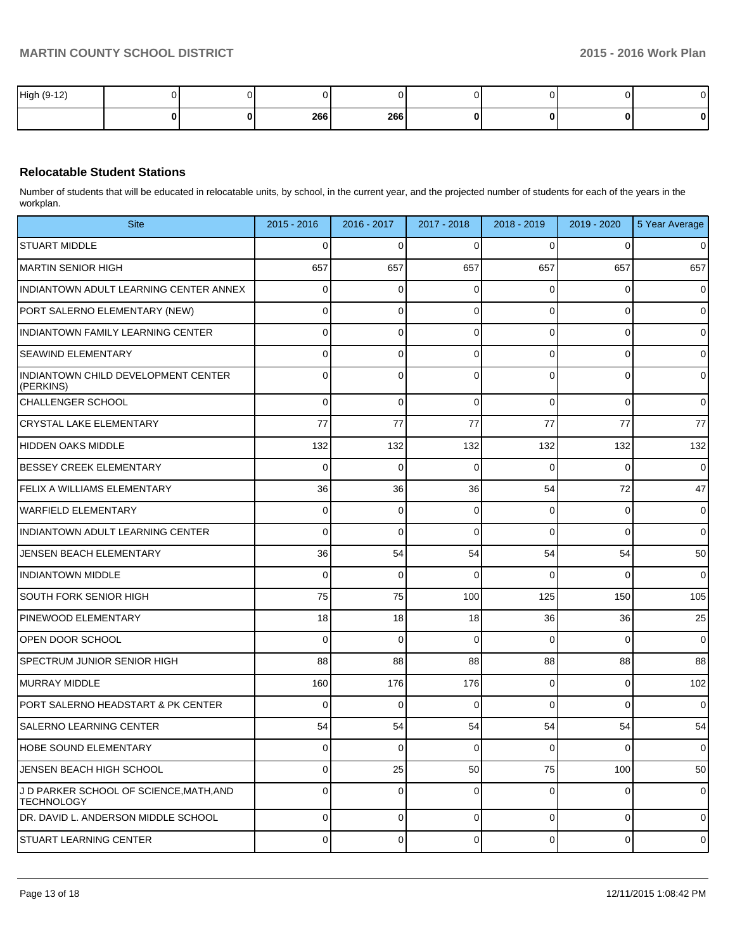| High (9-12) |  |     |     |  |  |
|-------------|--|-----|-----|--|--|
|             |  | 266 | 266 |  |  |

### **Relocatable Student Stations**

Number of students that will be educated in relocatable units, by school, in the current year, and the projected number of students for each of the years in the workplan.

| <b>Site</b>                                                  | $2015 - 2016$  | 2016 - 2017    | 2017 - 2018 | 2018 - 2019    | 2019 - 2020    | 5 Year Average      |
|--------------------------------------------------------------|----------------|----------------|-------------|----------------|----------------|---------------------|
| <b>STUART MIDDLE</b>                                         | 0              | 0              | C           | 0              | 0              | $\mathbf 0$         |
| MARTIN SENIOR HIGH                                           | 657            | 657            | 657         | 657            | 657            | 657                 |
| INDIANTOWN ADULT LEARNING CENTER ANNEX                       | 0              | 0              |             | 0              | 0              | $\mathbf 0$         |
| PORT SALERNO ELEMENTARY (NEW)                                | 0              | 0              |             | 0              | 0              | $\overline{0}$      |
| <b>INDIANTOWN FAMILY LEARNING CENTER</b>                     | 0              | 0              | $\Omega$    | $\Omega$       | 0              | $\mathbf 0$         |
| <b>SEAWIND ELEMENTARY</b>                                    | 0              | 0              |             | 0              | 0              | $\mathsf{O}\xspace$ |
| INDIANTOWN CHILD DEVELOPMENT CENTER<br>(PERKINS)             | 0              | $\Omega$       | $\Omega$    | 0              | 0              | $\mathbf 0$         |
| CHALLENGER SCHOOL                                            | $\Omega$       | 0              | $\Omega$    | $\Omega$       | $\mathbf 0$    | $\overline{0}$      |
| <b>CRYSTAL LAKE ELEMENTARY</b>                               | 77             | 77             | 77          | 77             | 77             | 77                  |
| HIDDEN OAKS MIDDLE                                           | 132            | 132            | 132         | 132            | 132            | 132                 |
| <b>BESSEY CREEK ELEMENTARY</b>                               | $\Omega$       | 0              | $\Omega$    | 0              | $\Omega$       | $\overline{0}$      |
| <b>FELIX A WILLIAMS ELEMENTARY</b>                           | 36             | 36             | 36          | 54             | 72             | 47                  |
| <b>WARFIELD ELEMENTARY</b>                                   | $\Omega$       | $\mathbf 0$    | $\Omega$    | $\Omega$       | $\mathbf 0$    | $\overline{0}$      |
| INDIANTOWN ADULT LEARNING CENTER                             | $\Omega$       | 0              | $\Omega$    | $\Omega$       | $\Omega$       | $\overline{0}$      |
| JENSEN BEACH ELEMENTARY                                      | 36             | 54             | 54          | 54             | 54             | 50                  |
| <b>INDIANTOWN MIDDLE</b>                                     | $\Omega$       | $\mathbf 0$    | $\Omega$    | $\Omega$       | $\Omega$       | $\overline{0}$      |
| <b>SOUTH FORK SENIOR HIGH</b>                                | 75             | 75             | 100         | 125            | 150            | 105                 |
| PINEWOOD ELEMENTARY                                          | 18             | 18             | 18          | 36             | 36             | 25                  |
| OPEN DOOR SCHOOL                                             | $\Omega$       | $\mathbf 0$    | $\Omega$    | $\Omega$       | $\Omega$       | $\overline{0}$      |
| <b>SPECTRUM JUNIOR SENIOR HIGH</b>                           | 88             | 88             | 88          | 88             | 88             | 88                  |
| MURRAY MIDDLE                                                | 160            | 176            | 176         | $\Omega$       | $\overline{0}$ | 102                 |
| PORT SALERNO HEADSTART & PK CENTER                           | $\Omega$       | 0              | $\Omega$    | $\Omega$       | $\Omega$       | $\overline{0}$      |
| <b>SALERNO LEARNING CENTER</b>                               | 54             | 54             | 54          | 54             | 54             | 54                  |
| <b>HOBE SOUND ELEMENTARY</b>                                 | $\Omega$       | $\overline{0}$ | $\Omega$    | $\Omega$       | $\overline{0}$ | $\overline{0}$      |
| JENSEN BEACH HIGH SCHOOL                                     | $\Omega$       | 25             | 50          | 75             | 100            | 50                  |
| J D PARKER SCHOOL OF SCIENCE, MATH, AND<br><b>TECHNOLOGY</b> | $\Omega$       | $\mathbf 0$    | $\mathbf 0$ | $\Omega$       | 0              | $\overline{0}$      |
| DR. DAVID L. ANDERSON MIDDLE SCHOOL                          | $\overline{0}$ | $\overline{0}$ | $\mathbf 0$ | $\overline{0}$ | $\overline{0}$ | $\mathbf 0$         |
| <b>STUART LEARNING CENTER</b>                                | $\overline{0}$ | 0              | $\mathbf 0$ | $\overline{0}$ | $\overline{0}$ | $\mathbf 0$         |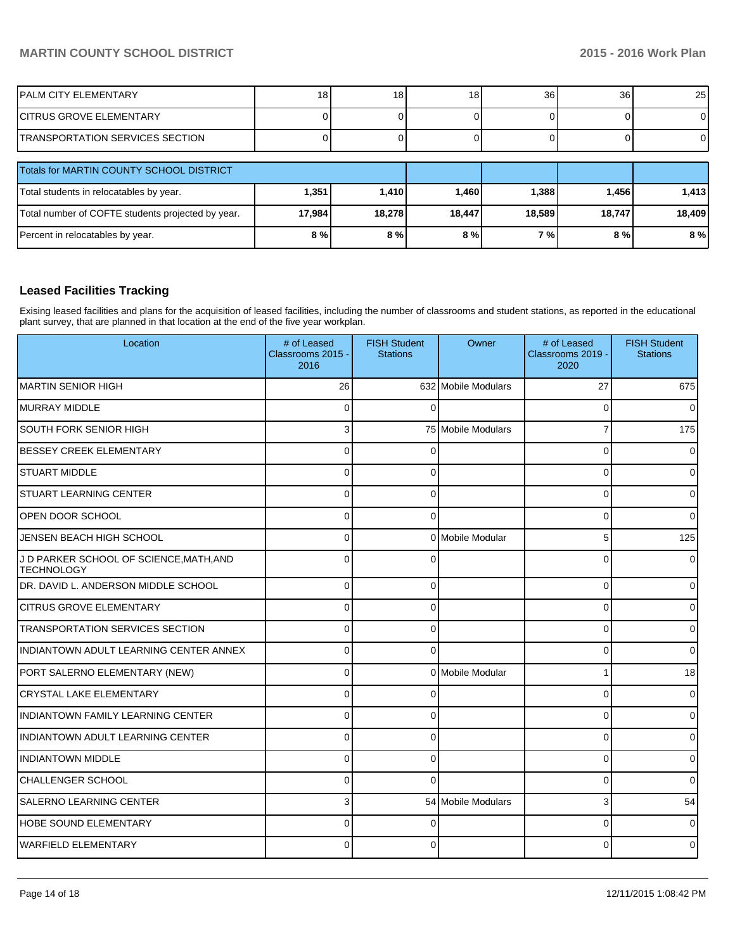| IPALM CITY ELEMENTARY                             | 18 <sub>1</sub> | 18     | 18 <sub>l</sub> | 36     | 36     | 25     |
|---------------------------------------------------|-----------------|--------|-----------------|--------|--------|--------|
| <b>CITRUS GROVE ELEMENTARY</b>                    |                 |        |                 |        |        | ΟI     |
| TRANSPORTATION SERVICES SECTION                   |                 |        |                 |        |        | ΟI     |
| Totals for MARTIN COUNTY SCHOOL DISTRICT          |                 |        |                 |        |        |        |
| Total students in relocatables by year.           | 1,351           | 1,410  | 1,460           | 1,388  | 1,456  | 1,413  |
| Total number of COFTE students projected by year. | 17,984          | 18,278 | 18,447          | 18,589 | 18,747 | 18,409 |
| Percent in relocatables by year.                  | 8 <sub>0</sub>  | 8%     | 8%              | 7%     | 8%     | 8 %    |

## **Leased Facilities Tracking**

Exising leased facilities and plans for the acquisition of leased facilities, including the number of classrooms and student stations, as reported in the educational plant survey, that are planned in that location at the end of the five year workplan.

| Location                                                     | # of Leased<br>Classrooms 2015 -<br>2016 | <b>FISH Student</b><br><b>Stations</b> | Owner               | # of Leased<br>Classrooms 2019 -<br>2020 | <b>FISH Student</b><br><b>Stations</b> |
|--------------------------------------------------------------|------------------------------------------|----------------------------------------|---------------------|------------------------------------------|----------------------------------------|
| IMARTIN SENIOR HIGH                                          | 26                                       |                                        | 632 Mobile Modulars | 27                                       | 675                                    |
| MURRAY MIDDLE                                                | $\Omega$                                 | $\Omega$                               |                     | 0                                        | $\overline{0}$                         |
| <b>SOUTH FORK SENIOR HIGH</b>                                | 3                                        |                                        | 75 Mobile Modulars  | $\overline{7}$                           | 175                                    |
| <b>BESSEY CREEK ELEMENTARY</b>                               | $\Omega$                                 | $\Omega$                               |                     | $\Omega$                                 | 0                                      |
| <b>STUART MIDDLE</b>                                         | $\Omega$                                 | $\Omega$                               |                     | $\Omega$                                 | $\Omega$                               |
| <b>STUART LEARNING CENTER</b>                                | $\Omega$                                 | $\Omega$                               |                     | $\Omega$                                 | 0                                      |
| OPEN DOOR SCHOOL                                             | $\Omega$                                 | $\mathbf{0}$                           |                     | $\Omega$                                 | $\overline{0}$                         |
| JENSEN BEACH HIGH SCHOOL                                     | $\Omega$                                 |                                        | 0 Mobile Modular    | 5                                        | 125                                    |
| J D PARKER SCHOOL OF SCIENCE, MATH, AND<br><b>TECHNOLOGY</b> | $\Omega$                                 | $\Omega$                               |                     | $\Omega$                                 | $\Omega$                               |
| DR. DAVID L. ANDERSON MIDDLE SCHOOL                          | $\Omega$                                 | 0                                      |                     | $\Omega$                                 | 0                                      |
| <b>CITRUS GROVE ELEMENTARY</b>                               | $\Omega$                                 | $\Omega$                               |                     | $\Omega$                                 | 0                                      |
| TRANSPORTATION SERVICES SECTION                              | $\Omega$                                 | 0                                      |                     | 0                                        | $\overline{0}$                         |
| INDIANTOWN ADULT LEARNING CENTER ANNEX                       | $\Omega$                                 | $\Omega$                               |                     | 0                                        | $\overline{0}$                         |
| PORT SALERNO ELEMENTARY (NEW)                                | $\Omega$                                 |                                        | 0 Mobile Modular    |                                          | 18                                     |
| <b>CRYSTAL LAKE ELEMENTARY</b>                               | $\Omega$                                 |                                        |                     | 0                                        | 0                                      |
| INDIANTOWN FAMILY LEARNING CENTER                            | $\Omega$                                 | $\Omega$                               |                     | $\Omega$                                 | 0                                      |
| <b>INDIANTOWN ADULT LEARNING CENTER</b>                      | $\Omega$                                 | ∩                                      |                     | $\Omega$                                 | $\Omega$                               |
| <b>INDIANTOWN MIDDLE</b>                                     | $\Omega$                                 | $\Omega$                               |                     | $\Omega$                                 | 0                                      |
| <b>CHALLENGER SCHOOL</b>                                     | $\Omega$                                 | ∩                                      |                     | 0                                        | $\Omega$                               |
| <b>SALERNO LEARNING CENTER</b>                               | 3                                        |                                        | 54 Mobile Modulars  | 3                                        | 54                                     |
| <b>HOBE SOUND ELEMENTARY</b>                                 | $\Omega$                                 |                                        |                     | $\Omega$                                 | $\overline{0}$                         |
| <b>WARFIELD ELEMENTARY</b>                                   | $\Omega$                                 | $\Omega$                               |                     | $\Omega$                                 | $\Omega$                               |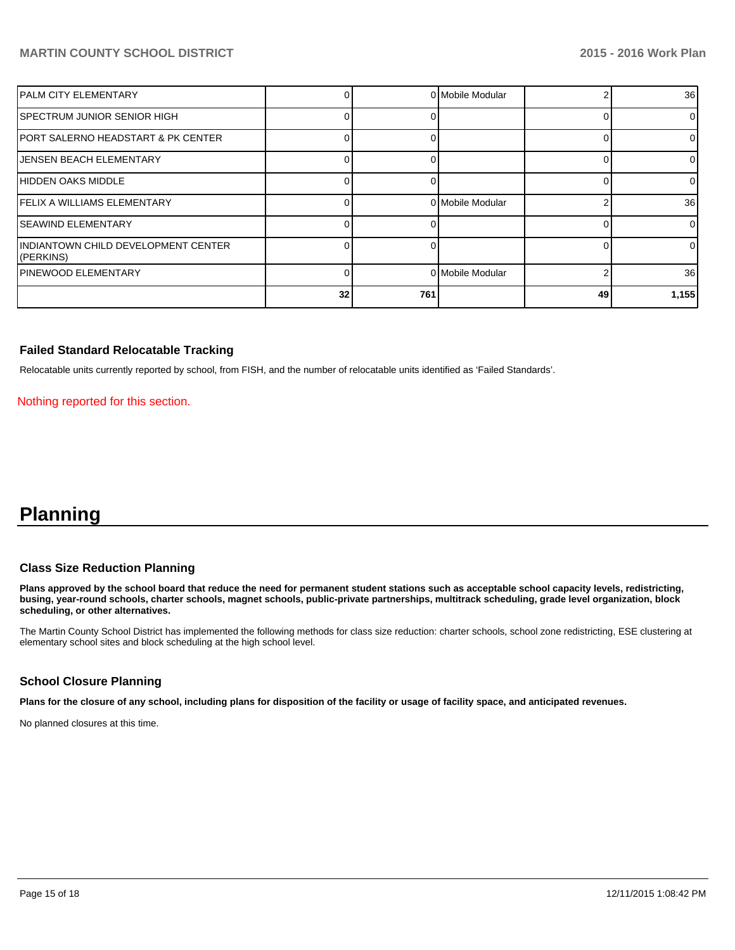| IPALM CITY ELEMENTARY                            |    |     | 0 Mobile Modular |    | 36              |
|--------------------------------------------------|----|-----|------------------|----|-----------------|
| <b>SPECTRUM JUNIOR SENIOR HIGH</b>               |    |     |                  |    | $\overline{0}$  |
| IPORT SALERNO HEADSTART & PK CENTER              |    |     |                  |    | $\overline{0}$  |
| <b>JENSEN BEACH ELEMENTARY</b>                   |    |     |                  |    | $\overline{0}$  |
| HIDDEN OAKS MIDDLE                               |    |     |                  |    | $\Omega$        |
| FELIX A WILLIAMS ELEMENTARY                      |    |     | 0 Mobile Modular |    | 36 <sup>1</sup> |
| <b>SEAWIND ELEMENTARY</b>                        |    |     |                  |    | $\Omega$        |
| INDIANTOWN CHILD DEVELOPMENT CENTER<br>(PERKINS) |    |     |                  |    | $\overline{0}$  |
| PINEWOOD ELEMENTARY                              |    |     | 0 Mobile Modular |    | 36 <sup>1</sup> |
|                                                  | 32 | 761 |                  | 49 | 1,155           |

#### **Failed Standard Relocatable Tracking**

Relocatable units currently reported by school, from FISH, and the number of relocatable units identified as 'Failed Standards'.

Nothing reported for this section.

# **Planning**

#### **Class Size Reduction Planning**

**Plans approved by the school board that reduce the need for permanent student stations such as acceptable school capacity levels, redistricting, busing, year-round schools, charter schools, magnet schools, public-private partnerships, multitrack scheduling, grade level organization, block scheduling, or other alternatives.**

The Martin County School District has implemented the following methods for class size reduction: charter schools, school zone redistricting, ESE clustering at elementary school sites and block scheduling at the high school level.

## **School Closure Planning**

**Plans for the closure of any school, including plans for disposition of the facility or usage of facility space, and anticipated revenues.**

No planned closures at this time.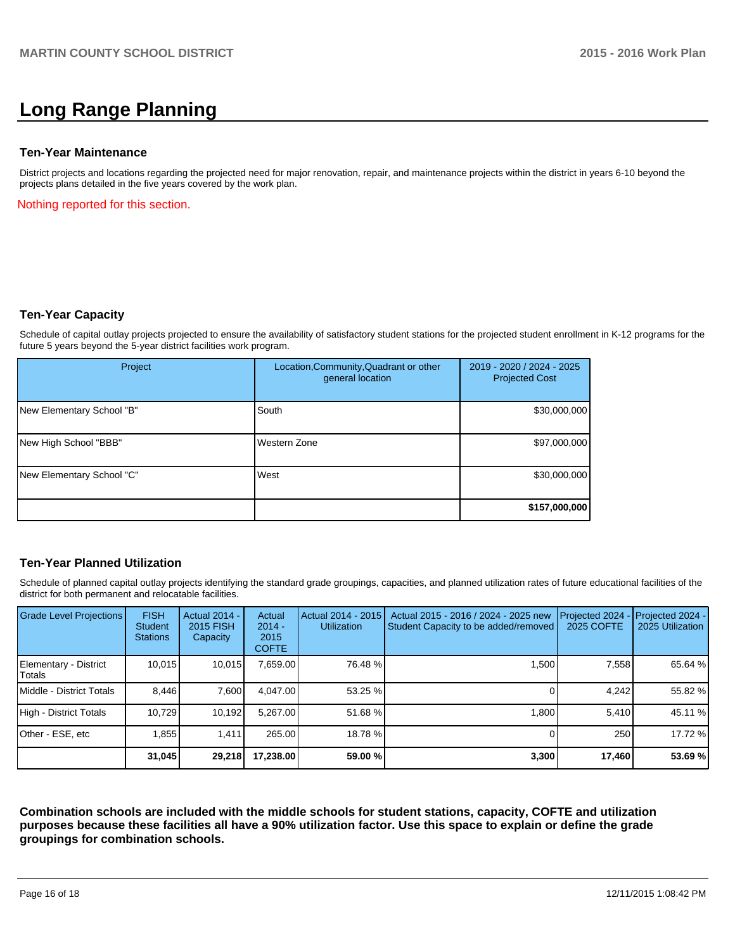# **Long Range Planning**

#### **Ten-Year Maintenance**

District projects and locations regarding the projected need for major renovation, repair, and maintenance projects within the district in years 6-10 beyond the projects plans detailed in the five years covered by the work plan.

Nothing reported for this section.

#### **Ten-Year Capacity**

Schedule of capital outlay projects projected to ensure the availability of satisfactory student stations for the projected student enrollment in K-12 programs for the future 5 years beyond the 5-year district facilities work program.

| Project                   | Location, Community, Quadrant or other<br>general location | 2019 - 2020 / 2024 - 2025<br><b>Projected Cost</b> |
|---------------------------|------------------------------------------------------------|----------------------------------------------------|
| New Elementary School "B" | South                                                      | \$30,000,000                                       |
| New High School "BBB"     | Western Zone                                               | \$97,000,000                                       |
| New Elementary School "C" | West                                                       | \$30,000,000                                       |
|                           |                                                            | \$157,000,000                                      |

## **Ten-Year Planned Utilization**

Schedule of planned capital outlay projects identifying the standard grade groupings, capacities, and planned utilization rates of future educational facilities of the district for both permanent and relocatable facilities.

| Grade Level Projections         | <b>FISH</b><br><b>Student</b><br><b>Stations</b> | <b>Actual 2014 -</b><br>2015 FISH<br>Capacity | Actual<br>$2014 -$<br>2015<br><b>COFTE</b> | Actual 2014 - 2015<br><b>Utilization</b> | Actual 2015 - 2016 / 2024 - 2025 new<br>Student Capacity to be added/removed | Projected 2024<br>2025 COFTE | Projected 2024 -<br>2025 Utilization |
|---------------------------------|--------------------------------------------------|-----------------------------------------------|--------------------------------------------|------------------------------------------|------------------------------------------------------------------------------|------------------------------|--------------------------------------|
| Elementary - District<br>Totals | 10,015                                           | 10,015                                        | 7,659.00                                   | 76.48 %                                  | 1,500                                                                        | 7,558                        | 65.64 %                              |
| Middle - District Totals        | 8.446                                            | 7,600                                         | 4.047.00                                   | 53.25 %                                  |                                                                              | 4.242                        | 55.82 %                              |
| High - District Totals          | 10,729                                           | 10,192                                        | 5,267.00                                   | 51.68 %                                  | 1,800                                                                        | 5,410                        | 45.11 %                              |
| Other - ESE, etc                | 1.855                                            | 1.411                                         | 265.00                                     | 18.78 %                                  |                                                                              | 250                          | 17.72 %                              |
|                                 | 31,045                                           | 29,218                                        | 17,238.00                                  | 59.00 %                                  | 3,300                                                                        | 17,460                       | 53.69 %                              |

**Combination schools are included with the middle schools for student stations, capacity, COFTE and utilization purposes because these facilities all have a 90% utilization factor. Use this space to explain or define the grade groupings for combination schools.**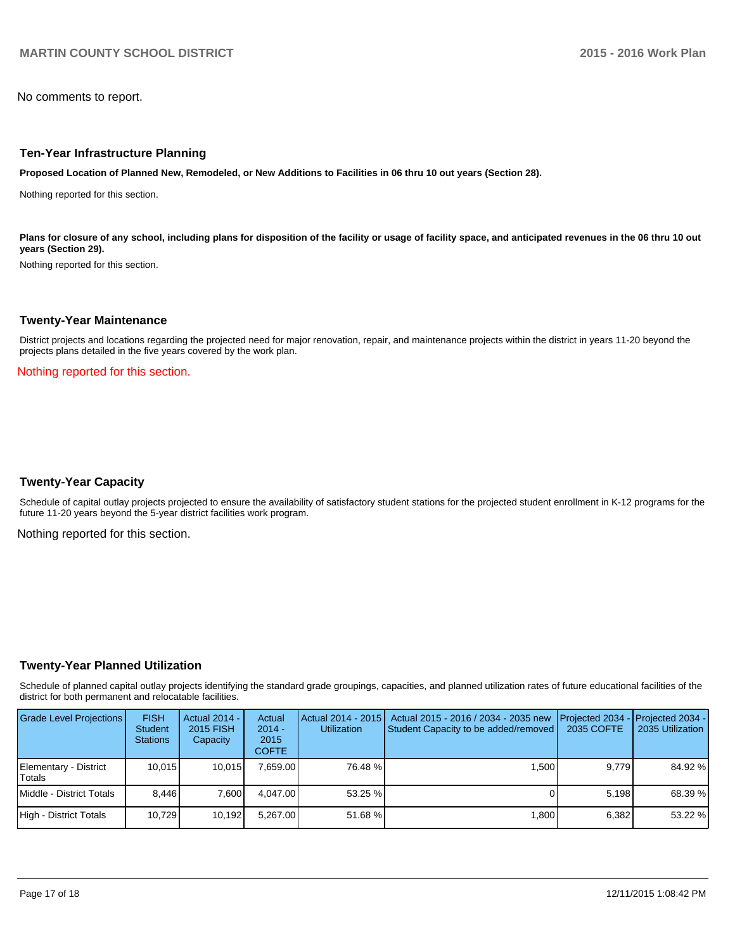No comments to report.

#### **Ten-Year Infrastructure Planning**

**Proposed Location of Planned New, Remodeled, or New Additions to Facilities in 06 thru 10 out years (Section 28).**

Nothing reported for this section.

Plans for closure of any school, including plans for disposition of the facility or usage of facility space, and anticipated revenues in the 06 thru 10 out **years (Section 29).**

Nothing reported for this section.

#### **Twenty-Year Maintenance**

District projects and locations regarding the projected need for major renovation, repair, and maintenance projects within the district in years 11-20 beyond the projects plans detailed in the five years covered by the work plan.

Nothing reported for this section.

#### **Twenty-Year Capacity**

Schedule of capital outlay projects projected to ensure the availability of satisfactory student stations for the projected student enrollment in K-12 programs for the future 11-20 years beyond the 5-year district facilities work program.

Nothing reported for this section.

#### **Twenty-Year Planned Utilization**

Schedule of planned capital outlay projects identifying the standard grade groupings, capacities, and planned utilization rates of future educational facilities of the district for both permanent and relocatable facilities.

| <b>Grade Level Projections</b>  | <b>FISH</b><br><b>Student</b><br><b>Stations</b> | <b>Actual 2014 -</b><br>2015 FISH<br>Capacity | Actual<br>$2014 -$<br>2015<br><b>COFTE</b> | <b>Utilization</b> | Actual 2014 - 2015   Actual 2015 - 2016 / 2034 - 2035 new<br>Student Capacity to be added/removed | <b>I</b> Projected 2034 - Projected 2034 -<br>2035 COFTE | 2035 Utilization |
|---------------------------------|--------------------------------------------------|-----------------------------------------------|--------------------------------------------|--------------------|---------------------------------------------------------------------------------------------------|----------------------------------------------------------|------------------|
| Elementary - District<br>Totals | 10.015                                           | 10.015                                        | 7.659.00                                   | 76.48 %            | 1.500                                                                                             | 9.779                                                    | 84.92 %          |
| l Middle - District Totals      | 8.446                                            | 7.600                                         | 4.047.00                                   | 53.25 %            |                                                                                                   | 5.198                                                    | 68.39 %          |
| High - District Totals          | 10.729                                           | 10,192                                        | 5.267.00                                   | $51.68 \%$         | 1.800                                                                                             | 6.382                                                    | 53.22 %          |